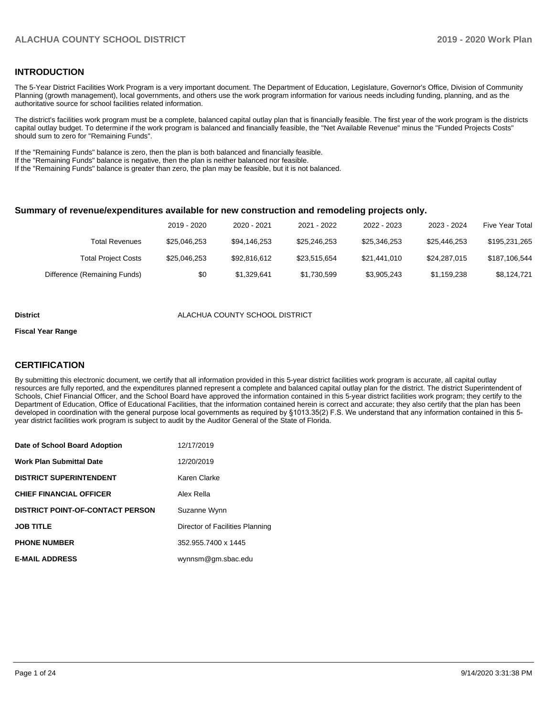#### **INTRODUCTION**

The 5-Year District Facilities Work Program is a very important document. The Department of Education, Legislature, Governor's Office, Division of Community Planning (growth management), local governments, and others use the work program information for various needs including funding, planning, and as the authoritative source for school facilities related information.

The district's facilities work program must be a complete, balanced capital outlay plan that is financially feasible. The first year of the work program is the districts capital outlay budget. To determine if the work program is balanced and financially feasible, the "Net Available Revenue" minus the "Funded Projects Costs" should sum to zero for "Remaining Funds".

If the "Remaining Funds" balance is zero, then the plan is both balanced and financially feasible.

If the "Remaining Funds" balance is negative, then the plan is neither balanced nor feasible.

If the "Remaining Funds" balance is greater than zero, the plan may be feasible, but it is not balanced.

#### **Summary of revenue/expenditures available for new construction and remodeling projects only.**

|                              | 2019 - 2020  | 2020 - 2021  | 2021 - 2022  | 2022 - 2023  | 2023 - 2024  | <b>Five Year Total</b> |
|------------------------------|--------------|--------------|--------------|--------------|--------------|------------------------|
| Total Revenues               | \$25,046,253 | \$94,146,253 | \$25,246,253 | \$25.346.253 | \$25.446.253 | \$195,231,265          |
| <b>Total Project Costs</b>   | \$25,046,253 | \$92.816.612 | \$23.515.654 | \$21.441.010 | \$24.287.015 | \$187,106,544          |
| Difference (Remaining Funds) | \$0          | \$1.329.641  | \$1,730,599  | \$3,905,243  | \$1,159,238  | \$8,124,721            |

#### **District COUNTY SCHOOL DISTRICT**

#### **Fiscal Year Range**

#### **CERTIFICATION**

By submitting this electronic document, we certify that all information provided in this 5-year district facilities work program is accurate, all capital outlay resources are fully reported, and the expenditures planned represent a complete and balanced capital outlay plan for the district. The district Superintendent of Schools, Chief Financial Officer, and the School Board have approved the information contained in this 5-year district facilities work program; they certify to the Department of Education, Office of Educational Facilities, that the information contained herein is correct and accurate; they also certify that the plan has been developed in coordination with the general purpose local governments as required by §1013.35(2) F.S. We understand that any information contained in this 5 year district facilities work program is subject to audit by the Auditor General of the State of Florida.

| Date of School Board Adoption           | 12/17/2019                      |
|-----------------------------------------|---------------------------------|
| Work Plan Submittal Date                | 12/20/2019                      |
| <b>DISTRICT SUPERINTENDENT</b>          | Karen Clarke                    |
| <b>CHIEF FINANCIAL OFFICER</b>          | Alex Rella                      |
| <b>DISTRICT POINT-OF-CONTACT PERSON</b> | Suzanne Wynn                    |
| JOB TITLE                               | Director of Facilities Planning |
| <b>PHONE NUMBER</b>                     | 352.955.7400 x 1445             |
| <b>E-MAIL ADDRESS</b>                   | wynnsm@gm.sbac.edu              |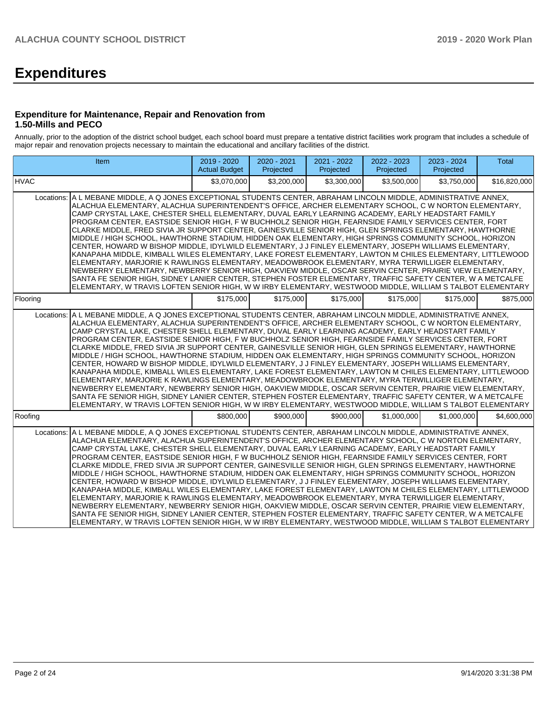# **Expenditures**

#### **Expenditure for Maintenance, Repair and Renovation from 1.50-Mills and PECO**

Annually, prior to the adoption of the district school budget, each school board must prepare a tentative district facilities work program that includes a schedule of major repair and renovation projects necessary to maintain the educational and ancillary facilities of the district.

|             | Item                                                                                                                                                                                                                                                                                                                                                                                                                                                                                                                                                                                                                                                                                                                                                                                                                                                                                                                                                                                                                                                                                                                                                                                                                                                                                                                                  | 2019 - 2020<br><b>Actual Budget</b> | 2020 - 2021<br>Projected | 2021 - 2022<br>Projected | 2022 - 2023<br>Projected | 2023 - 2024<br>Projected | <b>Total</b> |
|-------------|---------------------------------------------------------------------------------------------------------------------------------------------------------------------------------------------------------------------------------------------------------------------------------------------------------------------------------------------------------------------------------------------------------------------------------------------------------------------------------------------------------------------------------------------------------------------------------------------------------------------------------------------------------------------------------------------------------------------------------------------------------------------------------------------------------------------------------------------------------------------------------------------------------------------------------------------------------------------------------------------------------------------------------------------------------------------------------------------------------------------------------------------------------------------------------------------------------------------------------------------------------------------------------------------------------------------------------------|-------------------------------------|--------------------------|--------------------------|--------------------------|--------------------------|--------------|
| <b>HVAC</b> |                                                                                                                                                                                                                                                                                                                                                                                                                                                                                                                                                                                                                                                                                                                                                                                                                                                                                                                                                                                                                                                                                                                                                                                                                                                                                                                                       | \$3,070,000                         | \$3,200,000              | \$3,300,000              | \$3,500,000              | \$3,750,000              | \$16,820,000 |
|             | Locations: A L MEBANE MIDDLE, A Q JONES EXCEPTIONAL STUDENTS CENTER, ABRAHAM LINCOLN MIDDLE, ADMINISTRATIVE ANNEX,<br>ALACHUA ELEMENTARY. ALACHUA SUPERINTENDENT'S OFFICE. ARCHER ELEMENTARY SCHOOL. C W NORTON ELEMENTARY.<br>CAMP CRYSTAL LAKE, CHESTER SHELL ELEMENTARY, DUVAL EARLY LEARNING ACADEMY, EARLY HEADSTART FAMILY<br>PROGRAM CENTER, EASTSIDE SENIOR HIGH, F W BUCHHOLZ SENIOR HIGH, FEARNSIDE FAMILY SERVICES CENTER, FORT<br>CLARKE MIDDLE, FRED SIVIA JR SUPPORT CENTER, GAINESVILLE SENIOR HIGH, GLEN SPRINGS ELEMENTARY, HAWTHORNE<br>MIDDLE / HIGH SCHOOL, HAWTHORNE STADIUM, HIDDEN OAK ELEMENTARY, HIGH SPRINGS COMMUNITY SCHOOL, HORIZON<br>CENTER, HOWARD W BISHOP MIDDLE, IDYLWILD ELEMENTARY, J J FINLEY ELEMENTARY, JOSEPH WILLIAMS ELEMENTARY,<br>KANAPAHA MIDDLE, KIMBALL WILES ELEMENTARY, LAKE FOREST ELEMENTARY, LAWTON M CHILES ELEMENTARY, LITTLEWOOD<br>ELEMENTARY, MARJORIE K RAWLINGS ELEMENTARY, MEADOWBROOK ELEMENTARY, MYRA TERWILLIGER ELEMENTARY,<br>NEWBERRY ELEMENTARY, NEWBERRY SENIOR HIGH, OAKVIEW MIDDLE, OSCAR SERVIN CENTER, PRAIRIE VIEW ELEMENTARY,<br>SANTA FE SENIOR HIGH, SIDNEY LANIER CENTER, STEPHEN FOSTER ELEMENTARY, TRAFFIC SAFETY CENTER, W A METCALFE<br>ELEMENTARY, W TRAVIS LOFTEN SENIOR HIGH, W W IRBY ELEMENTARY, WESTWOOD MIDDLE, WILLIAM S TALBOT ELEMENTARY  |                                     |                          |                          |                          |                          |              |
| Flooring    |                                                                                                                                                                                                                                                                                                                                                                                                                                                                                                                                                                                                                                                                                                                                                                                                                                                                                                                                                                                                                                                                                                                                                                                                                                                                                                                                       | \$175,000                           | \$175,000                | \$175,000                | \$175,000                | \$175,000                | \$875,000    |
|             | Locations: A L MEBANE MIDDLE, A Q JONES EXCEPTIONAL STUDENTS CENTER, ABRAHAM LINCOLN MIDDLE, ADMINISTRATIVE ANNEX,<br>IALACHUA ELEMENTARY. ALACHUA SUPERINTENDENT'S OFFICE. ARCHER ELEMENTARY SCHOOL. C W NORTON ELEMENTARY.<br>CAMP CRYSTAL LAKE, CHESTER SHELL ELEMENTARY, DUVAL EARLY LEARNING ACADEMY, EARLY HEADSTART FAMILY<br>PROGRAM CENTER, EASTSIDE SENIOR HIGH, F W BUCHHOLZ SENIOR HIGH, FEARNSIDE FAMILY SERVICES CENTER, FORT<br>CLARKE MIDDLE, FRED SIVIA JR SUPPORT CENTER, GAINESVILLE SENIOR HIGH, GLEN SPRINGS ELEMENTARY, HAWTHORNE<br>MIDDLE / HIGH SCHOOL, HAWTHORNE STADIUM, HIDDEN OAK ELEMENTARY, HIGH SPRINGS COMMUNITY SCHOOL, HORIZON<br>CENTER, HOWARD W BISHOP MIDDLE, IDYLWILD ELEMENTARY, J J FINLEY ELEMENTARY, JOSEPH WILLIAMS ELEMENTARY,<br>KANAPAHA MIDDLE, KIMBALL WILES ELEMENTARY, LAKE FOREST ELEMENTARY, LAWTON M CHILES ELEMENTARY, LITTLEWOOD<br>ELEMENTARY, MARJORIE K RAWLINGS ELEMENTARY, MEADOWBROOK ELEMENTARY, MYRA TERWILLIGER ELEMENTARY,<br>NEWBERRY ELEMENTARY, NEWBERRY SENIOR HIGH, OAKVIEW MIDDLE, OSCAR SERVIN CENTER, PRAIRIE VIEW ELEMENTARY,<br>SANTA FE SENIOR HIGH, SIDNEY LANIER CENTER, STEPHEN FOSTER ELEMENTARY, TRAFFIC SAFETY CENTER, W A METCALFE<br>ELEMENTARY, W TRAVIS LOFTEN SENIOR HIGH, W W IRBY ELEMENTARY, WESTWOOD MIDDLE, WILLIAM S TALBOT ELEMENTARY |                                     |                          |                          |                          |                          |              |
| Roofing     |                                                                                                                                                                                                                                                                                                                                                                                                                                                                                                                                                                                                                                                                                                                                                                                                                                                                                                                                                                                                                                                                                                                                                                                                                                                                                                                                       | \$800,000                           | \$900,000                | \$900,000                | \$1,000,000              | \$1,000,000              | \$4,600,000  |
|             | Locations: A L MEBANE MIDDLE, A Q JONES EXCEPTIONAL STUDENTS CENTER, ABRAHAM LINCOLN MIDDLE, ADMINISTRATIVE ANNEX,<br>ALACHUA ELEMENTARY, ALACHUA SUPERINTENDENT'S OFFICE, ARCHER ELEMENTARY SCHOOL, C W NORTON ELEMENTARY,<br>CAMP CRYSTAL LAKE, CHESTER SHELL ELEMENTARY, DUVAL EARLY LEARNING ACADEMY, EARLY HEADSTART FAMILY<br>PROGRAM CENTER, EASTSIDE SENIOR HIGH, F W BUCHHOLZ SENIOR HIGH, FEARNSIDE FAMILY SERVICES CENTER, FORT<br>CLARKE MIDDLE, FRED SIVIA JR SUPPORT CENTER, GAINESVILLE SENIOR HIGH, GLEN SPRINGS ELEMENTARY, HAWTHORNE<br>MIDDLE / HIGH SCHOOL, HAWTHORNE STADIUM, HIDDEN OAK ELEMENTARY, HIGH SPRINGS COMMUNITY SCHOOL, HORIZON<br>CENTER, HOWARD W BISHOP MIDDLE, IDYLWILD ELEMENTARY, J J FINLEY ELEMENTARY, JOSEPH WILLIAMS ELEMENTARY,<br>KANAPAHA MIDDLE, KIMBALL WILES ELEMENTARY, LAKE FOREST ELEMENTARY, LAWTON M CHILES ELEMENTARY, LITTLEWOOD<br>ELEMENTARY, MARJORIE K RAWLINGS ELEMENTARY, MEADOWBROOK ELEMENTARY, MYRA TERWILLIGER ELEMENTARY,<br>NEWBERRY ELEMENTARY, NEWBERRY SENIOR HIGH, OAKVIEW MIDDLE, OSCAR SERVIN CENTER, PRAIRIE VIEW ELEMENTARY,<br>SANTA FE SENIOR HIGH, SIDNEY LANIER CENTER, STEPHEN FOSTER ELEMENTARY, TRAFFIC SAFETY CENTER, W A METCALFE<br>ELEMENTARY, W TRAVIS LOFTEN SENIOR HIGH, W W IRBY ELEMENTARY, WESTWOOD MIDDLE, WILLIAM S TALBOT ELEMENTARY  |                                     |                          |                          |                          |                          |              |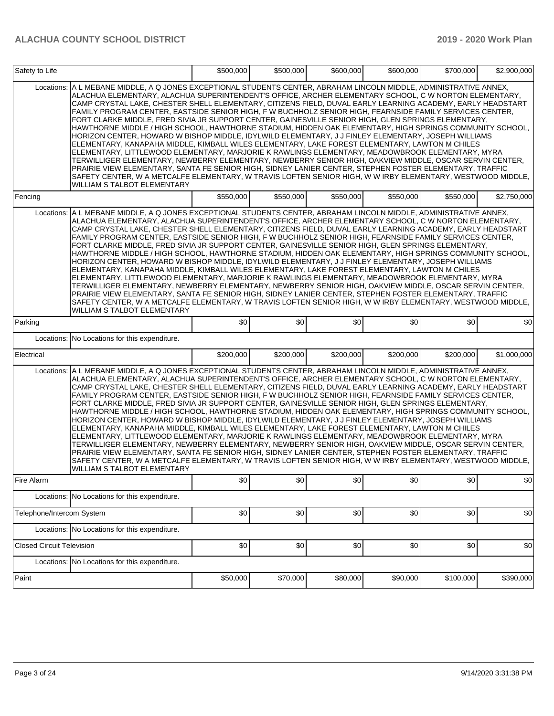| Safety to Life                   |                                                                                                                                                                                                                                                                                                                                                                                                                                                                                                                                                                                                                                                                                                                                                                                                                                                                                                                                                                                                                                                                                                                                                                                                                                                                                                                                                         | \$500,000 | \$500,000 | \$600,000 | \$600,000 | \$700,000 | \$2,900,000 |
|----------------------------------|---------------------------------------------------------------------------------------------------------------------------------------------------------------------------------------------------------------------------------------------------------------------------------------------------------------------------------------------------------------------------------------------------------------------------------------------------------------------------------------------------------------------------------------------------------------------------------------------------------------------------------------------------------------------------------------------------------------------------------------------------------------------------------------------------------------------------------------------------------------------------------------------------------------------------------------------------------------------------------------------------------------------------------------------------------------------------------------------------------------------------------------------------------------------------------------------------------------------------------------------------------------------------------------------------------------------------------------------------------|-----------|-----------|-----------|-----------|-----------|-------------|
| Locations:                       | A L MEBANE MIDDLE, A Q JONES EXCEPTIONAL STUDENTS CENTER, ABRAHAM LINCOLN MIDDLE, ADMINISTRATIVE ANNEX,<br>ALACHUA ELEMENTARY, ALACHUA SUPERINTENDENT'S OFFICE, ARCHER ELEMENTARY SCHOOL, C W NORTON ELEMENTARY,<br>CAMP CRYSTAL LAKE, CHESTER SHELL ELEMENTARY, CITIZENS FIELD, DUVAL EARLY LEARNING ACADEMY, EARLY HEADSTART<br>FAMILY PROGRAM CENTER, EASTSIDE SENIOR HIGH, F W BUCHHOLZ SENIOR HIGH, FEARNSIDE FAMILY SERVICES CENTER,<br>FORT CLARKE MIDDLE. FRED SIVIA JR SUPPORT CENTER. GAINESVILLE SENIOR HIGH. GLEN SPRINGS ELEMENTARY.<br>HAWTHORNE MIDDLE / HIGH SCHOOL, HAWTHORNE STADIUM, HIDDEN OAK ELEMENTARY, HIGH SPRINGS COMMUNITY SCHOOL,<br>HORIZON CENTER, HOWARD W BISHOP MIDDLE, IDYLWILD ELEMENTARY, J J FINLEY ELEMENTARY, JOSEPH WILLIAMS<br>ELEMENTARY, KANAPAHA MIDDLE, KIMBALL WILES ELEMENTARY, LAKE FOREST ELEMENTARY, LAWTON M CHILES<br>ELEMENTARY, LITTLEWOOD ELEMENTARY, MARJORIE K RAWLINGS ELEMENTARY, MEADOWBROOK ELEMENTARY, MYRA<br>TERWILLIGER ELEMENTARY. NEWBERRY ELEMENTARY. NEWBERRY SENIOR HIGH. OAKVIEW MIDDLE. OSCAR SERVIN CENTER.<br>PRAIRIE VIEW ELEMENTARY, SANTA FE SENIOR HIGH, SIDNEY LANIER CENTER, STEPHEN FOSTER ELEMENTARY, TRAFFIC<br>SAFETY CENTER, W A METCALFE ELEMENTARY, W TRAVIS LOFTEN SENIOR HIGH, W W IRBY ELEMENTARY, WESTWOOD MIDDLE,<br>WILLIAM S TALBOT ELEMENTARY            |           |           |           |           |           |             |
| Fencing                          |                                                                                                                                                                                                                                                                                                                                                                                                                                                                                                                                                                                                                                                                                                                                                                                                                                                                                                                                                                                                                                                                                                                                                                                                                                                                                                                                                         | \$550,000 | \$550,000 | \$550,000 | \$550,000 | \$550,000 | \$2,750,000 |
| Locations:                       | A L MEBANE MIDDLE, A Q JONES EXCEPTIONAL STUDENTS CENTER, ABRAHAM LINCOLN MIDDLE, ADMINISTRATIVE ANNEX,<br>ALACHUA ELEMENTARY, ALACHUA SUPERINTENDENT'S OFFICE, ARCHER ELEMENTARY SCHOOL, C W NORTON ELEMENTARY,<br>CAMP CRYSTAL LAKE, CHESTER SHELL ELEMENTARY, CITIZENS FIELD, DUVAL EARLY LEARNING ACADEMY, EARLY HEADSTART<br>FAMILY PROGRAM CENTER, EASTSIDE SENIOR HIGH, F W BUCHHOLZ SENIOR HIGH, FEARNSIDE FAMILY SERVICES CENTER,<br>FORT CLARKE MIDDLE, FRED SIVIA JR SUPPORT CENTER, GAINESVILLE SENIOR HIGH, GLEN SPRINGS ELEMENTARY,<br>HAWTHORNE MIDDLE / HIGH SCHOOL, HAWTHORNE STADIUM, HIDDEN OAK ELEMENTARY, HIGH SPRINGS COMMUNITY SCHOOL,<br>HORIZON CENTER, HOWARD W BISHOP MIDDLE, IDYLWILD ELEMENTARY, J J FINLEY ELEMENTARY, JOSEPH WILLIAMS<br>ELEMENTARY, KANAPAHA MIDDLE, KIMBALL WILES ELEMENTARY, LAKE FOREST ELEMENTARY, LAWTON M CHILES<br>ELEMENTARY, LITTLEWOOD ELEMENTARY, MARJORIE K RAWLINGS ELEMENTARY, MEADOWBROOK ELEMENTARY, MYRA<br>TERWILLIGER ELEMENTARY, NEWBERRY ELEMENTARY, NEWBERRY SENIOR HIGH, OAKVIEW MIDDLE, OSCAR SERVIN CENTER,<br>PRAIRIE VIEW ELEMENTARY, SANTA FE SENIOR HIGH, SIDNEY LANIER CENTER, STEPHEN FOSTER ELEMENTARY, TRAFFIC<br>SAFETY CENTER, W A METCALFE ELEMENTARY, W TRAVIS LOFTEN SENIOR HIGH, W W IRBY ELEMENTARY, WESTWOOD MIDDLE,<br>WILLIAM S TALBOT ELEMENTARY            |           |           |           |           |           |             |
| Parking                          |                                                                                                                                                                                                                                                                                                                                                                                                                                                                                                                                                                                                                                                                                                                                                                                                                                                                                                                                                                                                                                                                                                                                                                                                                                                                                                                                                         | \$0       | \$0       | \$0       | \$0       | \$0       | \$0         |
|                                  | Locations: No Locations for this expenditure.                                                                                                                                                                                                                                                                                                                                                                                                                                                                                                                                                                                                                                                                                                                                                                                                                                                                                                                                                                                                                                                                                                                                                                                                                                                                                                           |           |           |           |           |           |             |
| Electrical                       |                                                                                                                                                                                                                                                                                                                                                                                                                                                                                                                                                                                                                                                                                                                                                                                                                                                                                                                                                                                                                                                                                                                                                                                                                                                                                                                                                         | \$200,000 | \$200,000 | \$200,000 | \$200,000 | \$200,000 | \$1,000,000 |
|                                  | Locations: A L MEBANE MIDDLE, A Q JONES EXCEPTIONAL STUDENTS CENTER, ABRAHAM LINCOLN MIDDLE, ADMINISTRATIVE ANNEX,<br>ALACHUA ELEMENTARY, ALACHUA SUPERINTENDENT'S OFFICE, ARCHER ELEMENTARY SCHOOL, C W NORTON ELEMENTARY,<br>CAMP CRYSTAL LAKE, CHESTER SHELL ELEMENTARY, CITIZENS FIELD, DUVAL EARLY LEARNING ACADEMY, EARLY HEADSTART<br>FAMILY PROGRAM CENTER, EASTSIDE SENIOR HIGH, F W BUCHHOLZ SENIOR HIGH, FEARNSIDE FAMILY SERVICES CENTER,<br>FORT CLARKE MIDDLE, FRED SIVIA JR SUPPORT CENTER, GAINESVILLE SENIOR HIGH, GLEN SPRINGS ELEMENTARY,<br>HAWTHORNE MIDDLE / HIGH SCHOOL, HAWTHORNE STADIUM, HIDDEN OAK ELEMENTARY, HIGH SPRINGS COMMUNITY SCHOOL,<br>HORIZON CENTER, HOWARD W BISHOP MIDDLE, IDYLWILD ELEMENTARY, J J FINLEY ELEMENTARY, JOSEPH WILLIAMS<br>ELEMENTARY, KANAPAHA MIDDLE, KIMBALL WILES ELEMENTARY, LAKE FOREST ELEMENTARY, LAWTON M CHILES<br>ELEMENTARY, LITTLEWOOD ELEMENTARY, MARJORIE K RAWLINGS ELEMENTARY, MEADOWBROOK ELEMENTARY, MYRA<br>TERWILLIGER ELEMENTARY, NEWBERRY ELEMENTARY, NEWBERRY SENIOR HIGH, OAKVIEW MIDDLE, OSCAR SERVIN CENTER,<br>PRAIRIE VIEW ELEMENTARY, SANTA FE SENIOR HIGH, SIDNEY LANIER CENTER, STEPHEN FOSTER ELEMENTARY, TRAFFIC<br>SAFETY CENTER, W A METCALFE ELEMENTARY, W TRAVIS LOFTEN SENIOR HIGH, W W IRBY ELEMENTARY, WESTWOOD MIDDLE,<br>WILLIAM S TALBOT ELEMENTARY |           |           |           |           |           |             |
| Fire Alarm                       |                                                                                                                                                                                                                                                                                                                                                                                                                                                                                                                                                                                                                                                                                                                                                                                                                                                                                                                                                                                                                                                                                                                                                                                                                                                                                                                                                         | \$0       | \$0       | \$0       | \$0       | \$0       | \$0         |
|                                  | Locations: No Locations for this expenditure.                                                                                                                                                                                                                                                                                                                                                                                                                                                                                                                                                                                                                                                                                                                                                                                                                                                                                                                                                                                                                                                                                                                                                                                                                                                                                                           |           |           |           |           |           |             |
| Telephone/Intercom System        |                                                                                                                                                                                                                                                                                                                                                                                                                                                                                                                                                                                                                                                                                                                                                                                                                                                                                                                                                                                                                                                                                                                                                                                                                                                                                                                                                         | \$0       | \$0       | \$0       | \$0       | \$0       | \$0         |
|                                  | Locations: No Locations for this expenditure.                                                                                                                                                                                                                                                                                                                                                                                                                                                                                                                                                                                                                                                                                                                                                                                                                                                                                                                                                                                                                                                                                                                                                                                                                                                                                                           |           |           |           |           |           |             |
| <b>Closed Circuit Television</b> |                                                                                                                                                                                                                                                                                                                                                                                                                                                                                                                                                                                                                                                                                                                                                                                                                                                                                                                                                                                                                                                                                                                                                                                                                                                                                                                                                         | \$0       | \$0       | \$0       | \$0       | \$0       | \$0         |
|                                  | Locations: No Locations for this expenditure.                                                                                                                                                                                                                                                                                                                                                                                                                                                                                                                                                                                                                                                                                                                                                                                                                                                                                                                                                                                                                                                                                                                                                                                                                                                                                                           |           |           |           |           |           |             |
| Paint                            |                                                                                                                                                                                                                                                                                                                                                                                                                                                                                                                                                                                                                                                                                                                                                                                                                                                                                                                                                                                                                                                                                                                                                                                                                                                                                                                                                         | \$50,000  | \$70,000  | \$80,000  | \$90,000  | \$100,000 | \$390,000   |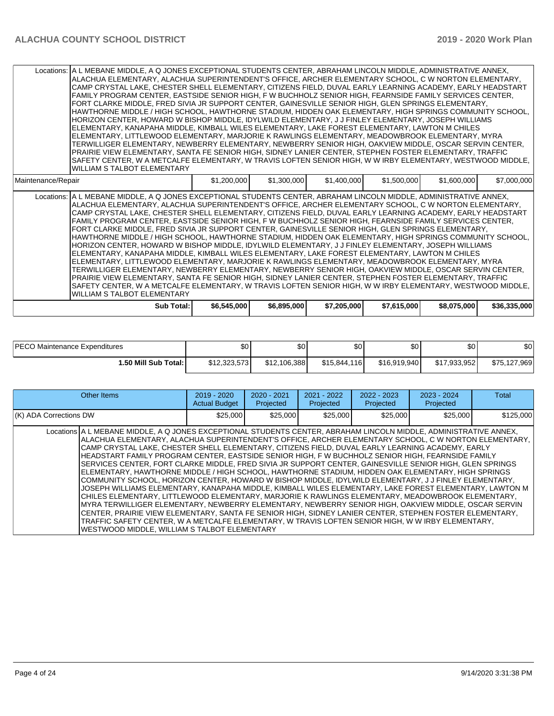|                    | Locations: A L MEBANE MIDDLE, A Q JONES EXCEPTIONAL STUDENTS CENTER, ABRAHAM LINCOLN MIDDLE, ADMINISTRATIVE ANNEX,<br>ALACHUA ELEMENTARY, ALACHUA SUPERINTENDENT'S OFFICE, ARCHER ELEMENTARY SCHOOL, C W NORTON ELEMENTARY,<br>CAMP CRYSTAL LAKE, CHESTER SHELL ELEMENTARY, CITIZENS FIELD, DUVAL EARLY LEARNING ACADEMY, EARLY HEADSTART<br>FAMILY PROGRAM CENTER, EASTSIDE SENIOR HIGH, FW BUCHHOLZ SENIOR HIGH, FEARNSIDE FAMILY SERVICES CENTER,<br>FORT CLARKE MIDDLE, FRED SIVIA JR SUPPORT CENTER, GAINESVILLE SENIOR HIGH, GLEN SPRINGS ELEMENTARY,<br>HAWTHORNE MIDDLE / HIGH SCHOOL, HAWTHORNE STADIUM, HIDDEN OAK ELEMENTARY, HIGH SPRINGS COMMUNITY SCHOOL,<br>HORIZON CENTER, HOWARD W BISHOP MIDDLE, IDYLWILD ELEMENTARY, J J FINLEY ELEMENTARY, JOSEPH WILLIAMS<br>ELEMENTARY, KANAPAHA MIDDLE, KIMBALL WILES ELEMENTARY, LAKE FOREST ELEMENTARY, LAWTON M CHILES<br>ELEMENTARY, LITTLEWOOD ELEMENTARY, MARJORIE K RAWLINGS ELEMENTARY, MEADOWBROOK ELEMENTARY, MYRA<br>TERWILLIGER ELEMENTARY, NEWBERRY ELEMENTARY, NEWBERRY SENIOR HIGH, OAKVIEW MIDDLE, OSCAR SERVIN CENTER,<br>PRAIRIE VIEW ELEMENTARY, SANTA FE SENIOR HIGH, SIDNEY LANIER CENTER, STEPHEN FOSTER ELEMENTARY, TRAFFIC<br>SAFETY CENTER, W A METCALFE ELEMENTARY, W TRAVIS LOFTEN SENIOR HIGH, W W IRBY ELEMENTARY, WESTWOOD MIDDLE,<br><b>WILLIAM S TALBOT ELEMENTARY</b>  |             |             |             |             |             |              |
|--------------------|----------------------------------------------------------------------------------------------------------------------------------------------------------------------------------------------------------------------------------------------------------------------------------------------------------------------------------------------------------------------------------------------------------------------------------------------------------------------------------------------------------------------------------------------------------------------------------------------------------------------------------------------------------------------------------------------------------------------------------------------------------------------------------------------------------------------------------------------------------------------------------------------------------------------------------------------------------------------------------------------------------------------------------------------------------------------------------------------------------------------------------------------------------------------------------------------------------------------------------------------------------------------------------------------------------------------------------------------------------------|-------------|-------------|-------------|-------------|-------------|--------------|
| Maintenance/Repair |                                                                                                                                                                                                                                                                                                                                                                                                                                                                                                                                                                                                                                                                                                                                                                                                                                                                                                                                                                                                                                                                                                                                                                                                                                                                                                                                                                | \$1,200,000 | \$1,300,000 | \$1,400,000 | \$1,500,000 | \$1,600,000 | \$7,000,000  |
|                    | Locations: A L MEBANE MIDDLE, A Q JONES EXCEPTIONAL STUDENTS CENTER, ABRAHAM LINCOLN MIDDLE, ADMINISTRATIVE ANNEX,<br>ALACHUA ELEMENTARY, ALACHUA SUPERINTENDENT'S OFFICE, ARCHER ELEMENTARY SCHOOL, C W NORTON ELEMENTARY,<br>CAMP CRYSTAL LAKE, CHESTER SHELL ELEMENTARY, CITIZENS FIELD, DUVAL EARLY LEARNING ACADEMY, EARLY HEADSTART<br>FAMILY PROGRAM CENTER, EASTSIDE SENIOR HIGH, F W BUCHHOLZ SENIOR HIGH, FEARNSIDE FAMILY SERVICES CENTER,<br>FORT CLARKE MIDDLE, FRED SIVIA JR SUPPORT CENTER, GAINESVILLE SENIOR HIGH, GLEN SPRINGS ELEMENTARY,<br>HAWTHORNE MIDDLE / HIGH SCHOOL, HAWTHORNE STADIUM, HIDDEN OAK ELEMENTARY, HIGH SPRINGS COMMUNITY SCHOOL,<br>HORIZON CENTER, HOWARD W BISHOP MIDDLE, IDYLWILD ELEMENTARY, J J FINLEY ELEMENTARY, JOSEPH WILLIAMS<br>ELEMENTARY, KANAPAHA MIDDLE, KIMBALL WILES ELEMENTARY, LAKE FOREST ELEMENTARY, LAWTON M CHILES<br>ELEMENTARY, LITTLEWOOD ELEMENTARY, MARJORIE K RAWLINGS ELEMENTARY, MEADOWBROOK ELEMENTARY, MYRA<br>TERWILLIGER ELEMENTARY, NEWBERRY ELEMENTARY, NEWBERRY SENIOR HIGH, OAKVIEW MIDDLE, OSCAR SERVIN CENTER,<br>PRAIRIE VIEW ELEMENTARY, SANTA FE SENIOR HIGH, SIDNEY LANIER CENTER, STEPHEN FOSTER ELEMENTARY, TRAFFIC<br>SAFETY CENTER, W A METCALFE ELEMENTARY, W TRAVIS LOFTEN SENIOR HIGH, W W IRBY ELEMENTARY, WESTWOOD MIDDLE,<br><b>WILLIAM S TALBOT ELEMENTARY</b> |             |             |             |             |             |              |
|                    | Sub Total:                                                                                                                                                                                                                                                                                                                                                                                                                                                                                                                                                                                                                                                                                                                                                                                                                                                                                                                                                                                                                                                                                                                                                                                                                                                                                                                                                     | \$6,545,000 | \$6,895,000 | \$7,205,000 | \$7,615,000 | \$8,075,000 | \$36,335,000 |

| <b>IPECO</b><br>) Maintenance Expenditures | \$0          | ¢∩<br>Ψ      | \$0          | \$0          | \$0          | \$0          |
|--------------------------------------------|--------------|--------------|--------------|--------------|--------------|--------------|
| 1.50 Mill Sub Total: I                     | \$12,323,573 | \$12,106,388 | \$15,844,116 | \$16,919,940 | \$17,933,952 | \$75,127,969 |

| Other Items                                                                                                                                                                                                                                                                                                                                                                                                                                                                                                                                                                                                                                                                                                                                                                                                                                                                                                                                                                                                                                                                                                                                                                                                                                                                                                                                                  | $2019 - 2020$<br><b>Actual Budget</b> | $2020 - 2021$<br>Projected | $2021 - 2022$<br>Projected | 2022 - 2023<br>Projected | $2023 - 2024$<br>Projected | Total     |
|--------------------------------------------------------------------------------------------------------------------------------------------------------------------------------------------------------------------------------------------------------------------------------------------------------------------------------------------------------------------------------------------------------------------------------------------------------------------------------------------------------------------------------------------------------------------------------------------------------------------------------------------------------------------------------------------------------------------------------------------------------------------------------------------------------------------------------------------------------------------------------------------------------------------------------------------------------------------------------------------------------------------------------------------------------------------------------------------------------------------------------------------------------------------------------------------------------------------------------------------------------------------------------------------------------------------------------------------------------------|---------------------------------------|----------------------------|----------------------------|--------------------------|----------------------------|-----------|
| (K) ADA Corrections DW                                                                                                                                                                                                                                                                                                                                                                                                                                                                                                                                                                                                                                                                                                                                                                                                                                                                                                                                                                                                                                                                                                                                                                                                                                                                                                                                       | \$25,000                              | \$25,000                   | \$25,000                   | \$25,000                 | \$25,000                   | \$125,000 |
| Locations A L MEBANE MIDDLE, A Q JONES EXCEPTIONAL STUDENTS CENTER, ABRAHAM LINCOLN MIDDLE, ADMINISTRATIVE ANNEX,<br>ALACHUA ELEMENTARY, ALACHUA SUPERINTENDENT'S OFFICE, ARCHER ELEMENTARY SCHOOL, C W NORTON ELEMENTARY, 1<br>İCAMP CRYSTAL LAKE. CHESTER SHELL ELEMENTARY. CITIZENS FIELD. DUVAL EARLY LEARNING ACADEMY. EARLY<br>IHEADSTART FAMILY PROGRAM CENTER. EASTSIDE SENIOR HIGH. F W BUCHHOLZ SENIOR HIGH. FEARNSIDE FAMILY<br>SERVICES CENTER. FORT CLARKE MIDDLE. FRED SIVIA JR SUPPORT CENTER. GAINESVILLE SENIOR HIGH. GLEN SPRINGS<br>ELEMENTARY, HAWTHORNE MIDDLE / HIGH SCHOOL, HAWTHORNE STADIUM, HIDDEN OAK ELEMENTARY, HIGH SPRINGS<br>lCOMMUNITY SCHOOL. HORIZON CENTER. HOWARD W BISHOP MIDDLE. IDYLWILD ELEMENTARY. J J FINLEY ELEMENTARY.<br>JOSEPH WILLIAMS ELEMENTARY. KANAPAHA MIDDLE. KIMBALL WILES ELEMENTARY. LAKE FOREST ELEMENTARY. LAWTON M<br>CHILES ELEMENTARY, LITTLEWOOD ELEMENTARY, MARJORIE K RAWLINGS ELEMENTARY, MEADOWBROOK ELEMENTARY,<br>IMYRA TERWILLIGER ELEMENTARY. NEWBERRY ELEMENTARY. NEWBERRY SENIOR HIGH. OAKVIEW MIDDLE. OSCAR SERVIN<br>CENTER, PRAIRIE VIEW ELEMENTARY, SANTA FE SENIOR HIGH, SIDNEY LANIER CENTER, STEPHEN FOSTER ELEMENTARY,<br>TRAFFIC SAFETY CENTER. W A METCALFE ELEMENTARY. W TRAVIS LOFTEN SENIOR HIGH. W W IRBY ELEMENTARY.<br>WESTWOOD MIDDLE. WILLIAM S TALBOT ELEMENTARY |                                       |                            |                            |                          |                            |           |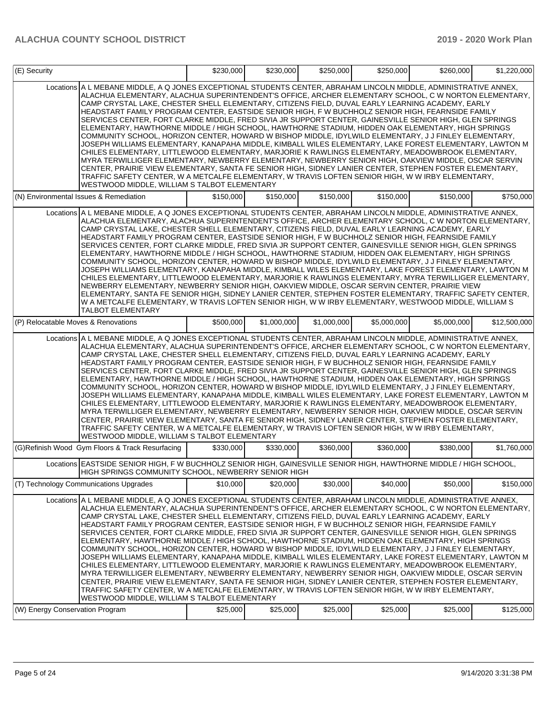| (E) Security                        |                                                                                                                                                                                                                                                                                                                                                                                                                                                                                                                                                                                                                                                                                                                                                                                                                                                                                                                                                                                                                                                                                                                                                                                                                                                                                                                                                        | \$230,000 | \$230,000   | \$250,000   | \$250,000   | \$260,000   | \$1,220,000  |
|-------------------------------------|--------------------------------------------------------------------------------------------------------------------------------------------------------------------------------------------------------------------------------------------------------------------------------------------------------------------------------------------------------------------------------------------------------------------------------------------------------------------------------------------------------------------------------------------------------------------------------------------------------------------------------------------------------------------------------------------------------------------------------------------------------------------------------------------------------------------------------------------------------------------------------------------------------------------------------------------------------------------------------------------------------------------------------------------------------------------------------------------------------------------------------------------------------------------------------------------------------------------------------------------------------------------------------------------------------------------------------------------------------|-----------|-------------|-------------|-------------|-------------|--------------|
|                                     | Locations A L MEBANE MIDDLE, A Q JONES EXCEPTIONAL STUDENTS CENTER, ABRAHAM LINCOLN MIDDLE, ADMINISTRATIVE ANNEX,<br>ALACHUA ELEMENTARY, ALACHUA SUPERINTENDENT'S OFFICE, ARCHER ELEMENTARY SCHOOL, C W NORTON ELEMENTARY,<br>CAMP CRYSTAL LAKE, CHESTER SHELL ELEMENTARY, CITIZENS FIELD, DUVAL EARLY LEARNING ACADEMY, EARLY<br>HEADSTART FAMILY PROGRAM CENTER, EASTSIDE SENIOR HIGH, FW BUCHHOLZ SENIOR HIGH, FEARNSIDE FAMILY<br>SERVICES CENTER. FORT CLARKE MIDDLE, FRED SIVIA JR SUPPORT CENTER, GAINESVILLE SENIOR HIGH, GLEN SPRINGS<br>ELEMENTARY, HAWTHORNE MIDDLE / HIGH SCHOOL, HAWTHORNE STADIUM, HIDDEN OAK ELEMENTARY, HIGH SPRINGS<br>COMMUNITY SCHOOL, HORIZON CENTER, HOWARD W BISHOP MIDDLE, IDYLWILD ELEMENTARY, J J FINLEY ELEMENTARY,<br>JOSEPH WILLIAMS ELEMENTARY, KANAPAHA MIDDLE, KIMBALL WILES ELEMENTARY, LAKE FOREST ELEMENTARY, LAWTON M<br>CHILES ELEMENTARY, LITTLEWOOD ELEMENTARY, MARJORIE K RAWLINGS ELEMENTARY, MEADOWBROOK ELEMENTARY,<br>MYRA TERWILLIGER ELEMENTARY, NEWBERRY ELEMENTARY, NEWBERRY SENIOR HIGH, OAKVIEW MIDDLE, OSCAR SERVIN<br>CENTER, PRAIRIE VIEW ELEMENTARY, SANTA FE SENIOR HIGH, SIDNEY LANIER CENTER, STEPHEN FOSTER ELEMENTARY,<br>TRAFFIC SAFETY CENTER, W A METCALFE ELEMENTARY, W TRAVIS LOFTEN SENIOR HIGH, W W IRBY ELEMENTARY,<br>WESTWOOD MIDDLE, WILLIAM S TALBOT ELEMENTARY  |           |             |             |             |             |              |
|                                     | (N) Environmental Issues & Remediation                                                                                                                                                                                                                                                                                                                                                                                                                                                                                                                                                                                                                                                                                                                                                                                                                                                                                                                                                                                                                                                                                                                                                                                                                                                                                                                 | \$150,000 | \$150,000   | \$150,000   | \$150,000   | \$150,000   | \$750,000    |
|                                     | Locations A L MEBANE MIDDLE, A Q JONES EXCEPTIONAL STUDENTS CENTER, ABRAHAM LINCOLN MIDDLE, ADMINISTRATIVE ANNEX,<br>ALACHUA ELEMENTARY, ALACHUA SUPERINTENDENT'S OFFICE, ARCHER ELEMENTARY SCHOOL, C W NORTON ELEMENTARY,<br>CAMP CRYSTAL LAKE, CHESTER SHELL ELEMENTARY, CITIZENS FIELD, DUVAL EARLY LEARNING ACADEMY, EARLY<br>HEADSTART FAMILY PROGRAM CENTER, EASTSIDE SENIOR HIGH, F W BUCHHOLZ SENIOR HIGH, FEARNSIDE FAMILY<br>SERVICES CENTER, FORT CLARKE MIDDLE, FRED SIVIA JR SUPPORT CENTER, GAINESVILLE SENIOR HIGH, GLEN SPRINGS<br>ELEMENTARY, HAWTHORNE MIDDLE / HIGH SCHOOL, HAWTHORNE STADIUM, HIDDEN OAK ELEMENTARY, HIGH SPRINGS<br>COMMUNITY SCHOOL, HORIZON CENTER, HOWARD W BISHOP MIDDLE, IDYLWILD ELEMENTARY, J J FINLEY ELEMENTARY,<br>JOSEPH WILLIAMS ELEMENTARY, KANAPAHA MIDDLE, KIMBALL WILES ELEMENTARY, LAKE FOREST ELEMENTARY, LAWTON M<br>CHILES ELEMENTARY, LITTLEWOOD ELEMENTARY, MARJORIE K RAWLINGS ELEMENTARY, MYRA TERWILLIGER ELEMENTARY,<br>NEWBERRY ELEMENTARY, NEWBERRY SENIOR HIGH, OAKVIEW MIDDLE, OSCAR SERVIN CENTER, PRAIRIE VIEW<br>ELEMENTARY, SANTA FE SENIOR HIGH, SIDNEY LANIER CENTER, STEPHEN FOSTER ELEMENTARY, TRAFFIC SAFETY CENTER,<br>W A METCALFE ELEMENTARY, W TRAVIS LOFTEN SENIOR HIGH, W W IRBY ELEMENTARY, WESTWOOD MIDDLE, WILLIAM S<br><b>TALBOT ELEMENTARY</b>                  |           |             |             |             |             |              |
| (P) Relocatable Moves & Renovations |                                                                                                                                                                                                                                                                                                                                                                                                                                                                                                                                                                                                                                                                                                                                                                                                                                                                                                                                                                                                                                                                                                                                                                                                                                                                                                                                                        | \$500,000 | \$1,000,000 | \$1,000,000 | \$5,000,000 | \$5,000,000 | \$12,500,000 |
|                                     | Locations A L MEBANE MIDDLE, A Q JONES EXCEPTIONAL STUDENTS CENTER, ABRAHAM LINCOLN MIDDLE, ADMINISTRATIVE ANNEX,<br>ALACHUA ELEMENTARY, ALACHUA SUPERINTENDENT'S OFFICE, ARCHER ELEMENTARY SCHOOL, C W NORTON ELEMENTARY,<br>CAMP CRYSTAL LAKE, CHESTER SHELL ELEMENTARY, CITIZENS FIELD, DUVAL EARLY LEARNING ACADEMY, EARLY<br>HEADSTART FAMILY PROGRAM CENTER, EASTSIDE SENIOR HIGH, F W BUCHHOLZ SENIOR HIGH, FEARNSIDE FAMILY<br>SERVICES CENTER, FORT CLARKE MIDDLE, FRED SIVIA JR SUPPORT CENTER, GAINESVILLE SENIOR HIGH, GLEN SPRINGS<br>ELEMENTARY, HAWTHORNE MIDDLE / HIGH SCHOOL, HAWTHORNE STADIUM, HIDDEN OAK ELEMENTARY, HIGH SPRINGS<br>COMMUNITY SCHOOL, HORIZON CENTER, HOWARD W BISHOP MIDDLE, IDYLWILD ELEMENTARY, J J FINLEY ELEMENTARY,<br>JOSEPH WILLIAMS ELEMENTARY, KANAPAHA MIDDLE, KIMBALL WILES ELEMENTARY, LAKE FOREST ELEMENTARY, LAWTON M<br>CHILES ELEMENTARY, LITTLEWOOD ELEMENTARY, MARJORIE K RAWLINGS ELEMENTARY, MEADOWBROOK ELEMENTARY,<br>MYRA TERWILLIGER ELEMENTARY, NEWBERRY ELEMENTARY, NEWBERRY SENIOR HIGH, OAKVIEW MIDDLE, OSCAR SERVIN<br>CENTER, PRAIRIE VIEW ELEMENTARY, SANTA FE SENIOR HIGH, SIDNEY LANIER CENTER, STEPHEN FOSTER ELEMENTARY,<br>TRAFFIC SAFETY CENTER, W A METCALFE ELEMENTARY, W TRAVIS LOFTEN SENIOR HIGH, W W IRBY ELEMENTARY,<br>WESTWOOD MIDDLE, WILLIAM S TALBOT ELEMENTARY |           |             |             |             |             |              |
|                                     | (G)Refinish Wood Gym Floors & Track Resurfacing                                                                                                                                                                                                                                                                                                                                                                                                                                                                                                                                                                                                                                                                                                                                                                                                                                                                                                                                                                                                                                                                                                                                                                                                                                                                                                        | \$330,000 | \$330,000   | \$360,000   | \$360,000   | \$380,000   | \$1,760,000  |
|                                     | Locations EASTSIDE SENIOR HIGH, F W BUCHHOLZ SENIOR HIGH, GAINESVILLE SENIOR HIGH, HAWTHORNE MIDDLE / HIGH SCHOOL,<br>HIGH SPRINGS COMMUNITY SCHOOL, NEWBERRY SENIOR HIGH                                                                                                                                                                                                                                                                                                                                                                                                                                                                                                                                                                                                                                                                                                                                                                                                                                                                                                                                                                                                                                                                                                                                                                              |           |             |             |             |             |              |
|                                     | (T) Technology Communications Upgrades                                                                                                                                                                                                                                                                                                                                                                                                                                                                                                                                                                                                                                                                                                                                                                                                                                                                                                                                                                                                                                                                                                                                                                                                                                                                                                                 | \$10,000  | \$20,000    | \$30,000    | \$40,000    | \$50,000    | \$150,000    |
|                                     | Locations A L MEBANE MIDDLE, A Q JONES EXCEPTIONAL STUDENTS CENTER, ABRAHAM LINCOLN MIDDLE, ADMINISTRATIVE ANNEX,<br>ALACHUA ELEMENTARY, ALACHUA SUPERINTENDENT'S OFFICE, ARCHER ELEMENTARY SCHOOL, C W NORTON ELEMENTARY,<br>CAMP CRYSTAL LAKE, CHESTER SHELL ELEMENTARY, CITIZENS FIELD, DUVAL EARLY LEARNING ACADEMY, EARLY<br>HEADSTART FAMILY PROGRAM CENTER, EASTSIDE SENIOR HIGH, FW BUCHHOLZ SENIOR HIGH, FEARNSIDE FAMILY<br>SERVICES CENTER, FORT CLARKE MIDDLE, FRED SIVIA JR SUPPORT CENTER, GAINESVILLE SENIOR HIGH, GLEN SPRINGS<br>ELEMENTARY, HAWTHORNE MIDDLE / HIGH SCHOOL, HAWTHORNE STADIUM, HIDDEN OAK ELEMENTARY, HIGH SPRINGS<br>COMMUNITY SCHOOL, HORIZON CENTER, HOWARD W BISHOP MIDDLE, IDYLWILD ELEMENTARY, J J FINLEY ELEMENTARY,<br>JOSEPH WILLIAMS ELEMENTARY, KANAPAHA MIDDLE, KIMBALL WILES ELEMENTARY, LAKE FOREST ELEMENTARY, LAWTON M<br>CHILES ELEMENTARY, LITTLEWOOD ELEMENTARY, MARJORIE K RAWLINGS ELEMENTARY, MEADOWBROOK ELEMENTARY,<br>MYRA TERWILLIGER ELEMENTARY, NEWBERRY ELEMENTARY, NEWBERRY SENIOR HIGH, OAKVIEW MIDDLE, OSCAR SERVIN<br>CENTER, PRAIRIE VIEW ELEMENTARY, SANTA FE SENIOR HIGH, SIDNEY LANIER CENTER, STEPHEN FOSTER ELEMENTARY,<br>TRAFFIC SAFETY CENTER, W A METCALFE ELEMENTARY, W TRAVIS LOFTEN SENIOR HIGH, W W IRBY ELEMENTARY,<br>WESTWOOD MIDDLE, WILLIAM S TALBOT ELEMENTARY  |           |             |             |             |             |              |
| (W) Energy Conservation Program     |                                                                                                                                                                                                                                                                                                                                                                                                                                                                                                                                                                                                                                                                                                                                                                                                                                                                                                                                                                                                                                                                                                                                                                                                                                                                                                                                                        | \$25,000  | \$25,000    | \$25,000    | \$25,000    | \$25,000    | \$125,000    |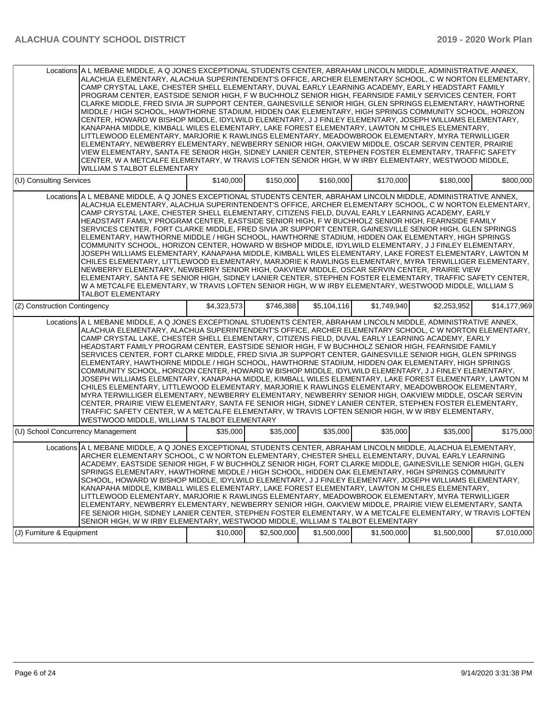| Locations A L MEBANE MIDDLE, A Q JONES EXCEPTIONAL STUDENTS CENTER, ABRAHAM LINCOLN MIDDLE, ADMINISTRATIVE ANNEX,<br>ALACHUA ELEMENTARY, ALACHUA SUPERINTENDENT'S OFFICE, ARCHER ELEMENTARY SCHOOL, C W NORTON ELEMENTARY,<br>CAMP CRYSTAL LAKE, CHESTER SHELL ELEMENTARY, DUVAL EARLY LEARNING ACADEMY, EARLY HEADSTART FAMILY<br>PROGRAM CENTER, EASTSIDE SENIOR HIGH, FW BUCHHOLZ SENIOR HIGH, FEARNSIDE FAMILY SERVICES CENTER, FORT<br>CLARKE MIDDLE, FRED SIVIA JR SUPPORT CENTER, GAINESVILLE SENIOR HIGH, GLEN SPRINGS ELEMENTARY, HAWTHORNE<br>MIDDLE / HIGH SCHOOL, HAWTHORNE STADIUM, HIDDEN OAK ELEMENTARY, HIGH SPRINGS COMMUNITY SCHOOL, HORIZON<br>CENTER, HOWARD W BISHOP MIDDLE, IDYLWILD ELEMENTARY, J J FINLEY ELEMENTARY, JOSEPH WILLIAMS ELEMENTARY,<br>KANAPAHA MIDDLE, KIMBALL WILES ELEMENTARY, LAKE FOREST ELEMENTARY, LAWTON M CHILES ELEMENTARY,<br>LITTLEWOOD ELEMENTARY, MARJORIE K RAWLINGS ELEMENTARY, MEADOWBROOK ELEMENTARY, MYRA TERWILLIGER<br>ELEMENTARY, NEWBERRY ELEMENTARY, NEWBERRY SENIOR HIGH, OAKVIEW MIDDLE, OSCAR SERVIN CENTER, PRAIRIE<br>VIEW ELEMENTARY, SANTA FE SENIOR HIGH, SIDNEY LANIER CENTER, STEPHEN FOSTER ELEMENTARY, TRAFFIC SAFETY<br>CENTER, W A METCALFE ELEMENTARY, W TRAVIS LOFTEN SENIOR HIGH, W W IRBY ELEMENTARY, WESTWOOD MIDDLE,<br><b>WILLIAM S TALBOT ELEMENTARY</b>          |             |             |             |             |             |              |
|-------------------------------------------------------------------------------------------------------------------------------------------------------------------------------------------------------------------------------------------------------------------------------------------------------------------------------------------------------------------------------------------------------------------------------------------------------------------------------------------------------------------------------------------------------------------------------------------------------------------------------------------------------------------------------------------------------------------------------------------------------------------------------------------------------------------------------------------------------------------------------------------------------------------------------------------------------------------------------------------------------------------------------------------------------------------------------------------------------------------------------------------------------------------------------------------------------------------------------------------------------------------------------------------------------------------------------------------------------|-------------|-------------|-------------|-------------|-------------|--------------|
| (U) Consulting Services                                                                                                                                                                                                                                                                                                                                                                                                                                                                                                                                                                                                                                                                                                                                                                                                                                                                                                                                                                                                                                                                                                                                                                                                                                                                                                                               | \$140,000   | \$150,000   | \$160,000   | \$170,000   | \$180,000   | \$800,000    |
| Locations A L MEBANE MIDDLE, A Q JONES EXCEPTIONAL STUDENTS CENTER, ABRAHAM LINCOLN MIDDLE, ADMINISTRATIVE ANNEX,<br>ALACHUA ELEMENTARY, ALACHUA SUPERINTENDENT'S OFFICE, ARCHER ELEMENTARY SCHOOL, C W NORTON ELEMENTARY,<br>CAMP CRYSTAL LAKE, CHESTER SHELL ELEMENTARY, CITIZENS FIELD, DUVAL EARLY LEARNING ACADEMY, EARLY<br>HEADSTART FAMILY PROGRAM CENTER, EASTSIDE SENIOR HIGH, FW BUCHHOLZ SENIOR HIGH, FEARNSIDE FAMILY<br>SERVICES CENTER, FORT CLARKE MIDDLE, FRED SIVIA JR SUPPORT CENTER, GAINESVILLE SENIOR HIGH, GLEN SPRINGS<br>ELEMENTARY, HAWTHORNE MIDDLE / HIGH SCHOOL, HAWTHORNE STADIUM, HIDDEN OAK ELEMENTARY, HIGH SPRINGS<br>COMMUNITY SCHOOL, HORIZON CENTER, HOWARD W BISHOP MIDDLE, IDYLWILD ELEMENTARY, J J FINLEY ELEMENTARY,<br>JOSEPH WILLIAMS ELEMENTARY, KANAPAHA MIDDLE, KIMBALL WILES ELEMENTARY, LAKE FOREST ELEMENTARY, LAWTON M<br>CHILES ELEMENTARY, LITTLEWOOD ELEMENTARY, MARJORIE K RAWLINGS ELEMENTARY, MYRA TERWILLIGER ELEMENTARY,<br>NEWBERRY ELEMENTARY. NEWBERRY SENIOR HIGH. OAKVIEW MIDDLE. OSCAR SERVIN CENTER. PRAIRIE VIEW<br>ELEMENTARY, SANTA FE SENIOR HIGH, SIDNEY LANIER CENTER, STEPHEN FOSTER ELEMENTARY, TRAFFIC SAFETY CENTER,<br>W A METCALFE ELEMENTARY, W TRAVIS LOFTEN SENIOR HIGH, W W IRBY ELEMENTARY, WESTWOOD MIDDLE, WILLIAM S<br>TALBOT ELEMENTARY                         |             |             |             |             |             |              |
| (Z) Construction Contingency                                                                                                                                                                                                                                                                                                                                                                                                                                                                                                                                                                                                                                                                                                                                                                                                                                                                                                                                                                                                                                                                                                                                                                                                                                                                                                                          | \$4,323,573 | \$746,388   | \$5,104,116 | \$1,749,940 | \$2,253,952 | \$14,177,969 |
| Locations A L MEBANE MIDDLE, A Q JONES EXCEPTIONAL STUDENTS CENTER, ABRAHAM LINCOLN MIDDLE, ADMINISTRATIVE ANNEX,<br>ALACHUA ELEMENTARY, ALACHUA SUPERINTENDENT'S OFFICE, ARCHER ELEMENTARY SCHOOL, C W NORTON ELEMENTARY,<br>CAMP CRYSTAL LAKE, CHESTER SHELL ELEMENTARY, CITIZENS FIELD, DUVAL EARLY LEARNING ACADEMY, EARLY<br>HEADSTART FAMILY PROGRAM CENTER, EASTSIDE SENIOR HIGH, FW BUCHHOLZ SENIOR HIGH, FEARNSIDE FAMILY<br>SERVICES CENTER, FORT CLARKE MIDDLE, FRED SIVIA JR SUPPORT CENTER, GAINESVILLE SENIOR HIGH, GLEN SPRINGS<br>ELEMENTARY, HAWTHORNE MIDDLE / HIGH SCHOOL, HAWTHORNE STADIUM, HIDDEN OAK ELEMENTARY, HIGH SPRINGS<br>COMMUNITY SCHOOL, HORIZON CENTER, HOWARD W BISHOP MIDDLE, IDYLWILD ELEMENTARY, J J FINLEY ELEMENTARY,<br>JOSEPH WILLIAMS ELEMENTARY, KANAPAHA MIDDLE, KIMBALL WILES ELEMENTARY, LAKE FOREST ELEMENTARY, LAWTON M<br>CHILES ELEMENTARY, LITTLEWOOD ELEMENTARY, MARJORIE K RAWLINGS ELEMENTARY, MEADOWBROOK ELEMENTARY,<br>MYRA TERWILLIGER ELEMENTARY, NEWBERRY ELEMENTARY, NEWBERRY SENIOR HIGH, OAKVIEW MIDDLE, OSCAR SERVIN<br>CENTER, PRAIRIE VIEW ELEMENTARY, SANTA FE SENIOR HIGH, SIDNEY LANIER CENTER, STEPHEN FOSTER ELEMENTARY,<br>TRAFFIC SAFETY CENTER, W A METCALFE ELEMENTARY, W TRAVIS LOFTEN SENIOR HIGH, W W IRBY ELEMENTARY,<br>WESTWOOD MIDDLE, WILLIAM S TALBOT ELEMENTARY |             |             |             |             |             |              |
| (U) School Concurrency Management                                                                                                                                                                                                                                                                                                                                                                                                                                                                                                                                                                                                                                                                                                                                                                                                                                                                                                                                                                                                                                                                                                                                                                                                                                                                                                                     | \$35,000    | \$35,000    | \$35,000    | \$35,000    | \$35,000    | \$175,000    |
| Locations A L MEBANE MIDDLE, A Q JONES EXCEPTIONAL STUDENTS CENTER, ABRAHAM LINCOLN MIDDLE, ALACHUA ELEMENTARY,<br>ARCHER ELEMENTARY SCHOOL, C W NORTON ELEMENTARY, CHESTER SHELL ELEMENTARY, DUVAL EARLY LEARNING<br>ACADEMY, EASTSIDE SENIOR HIGH, F W BUCHHOLZ SENIOR HIGH, FORT CLARKE MIDDLE, GAINESVILLE SENIOR HIGH, GLEN<br>SPRINGS ELEMENTARY, HAWTHORNE MIDDLE / HIGH SCHOOL, HIDDEN OAK ELEMENTARY, HIGH SPRINGS COMMUNITY<br>SCHOOL, HOWARD W BISHOP MIDDLE, IDYLWILD ELEMENTARY, J J FINLEY ELEMENTARY, JOSEPH WILLIAMS ELEMENTARY,<br>KANAPAHA MIDDLE, KIMBALL WILES ELEMENTARY, LAKE FOREST ELEMENTARY, LAWTON M CHILES ELEMENTARY,<br>LITTLEWOOD ELEMENTARY, MARJORIE K RAWLINGS ELEMENTARY, MEADOWBROOK ELEMENTARY, MYRA TERWILLIGER<br>ELEMENTARY, NEWBERRY ELEMENTARY, NEWBERRY SENIOR HIGH, OAKVIEW MIDDLE, PRAIRIE VIEW ELEMENTARY, SANTA<br>FE SENIOR HIGH, SIDNEY LANIER CENTER, STEPHEN FOSTER ELEMENTARY, W A METCALFE ELEMENTARY, W TRAVIS LOFTEN<br>SENIOR HIGH, W W IRBY ELEMENTARY, WESTWOOD MIDDLE, WILLIAM S TALBOT ELEMENTARY<br>(J) Furniture & Equipment                                                                                                                                                                                                                                                            | \$10,000    | \$2,500,000 | \$1,500,000 | \$1,500,000 | \$1,500,000 | \$7,010,000  |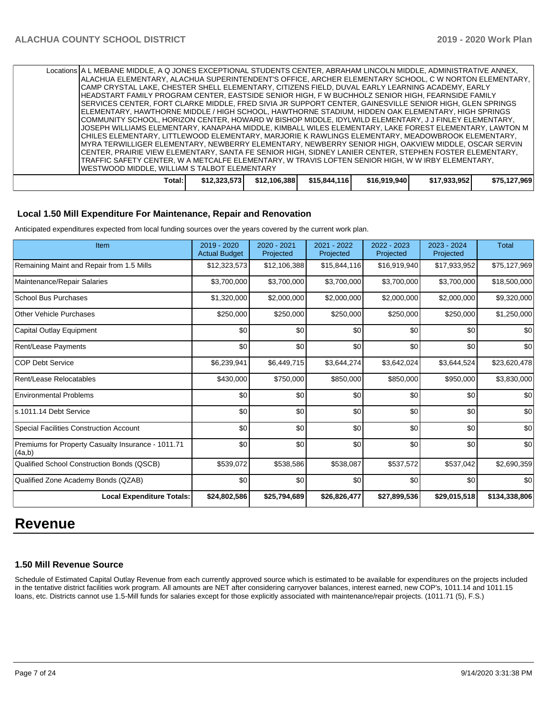|                                               | Locations A L MEBANE MIDDLE, A Q JONES EXCEPTIONAL STUDENTS CENTER, ABRAHAM LINCOLN MIDDLE, ADMINISTRATIVE ANNEX, |              |              |              |              |              |              |  |
|-----------------------------------------------|-------------------------------------------------------------------------------------------------------------------|--------------|--------------|--------------|--------------|--------------|--------------|--|
|                                               | IALACHUA ELEMENTARY, ALACHUA SUPERINTENDENT'S OFFICE, ARCHER ELEMENTARY SCHOOL, C W NORTON ELEMENTARY,            |              |              |              |              |              |              |  |
|                                               | CAMP CRYSTAL LAKE, CHESTER SHELL ELEMENTARY, CITIZENS FIELD, DUVAL EARLY LEARNING ACADEMY, EARLY                  |              |              |              |              |              |              |  |
|                                               | HEADSTART FAMILY PROGRAM CENTER, EASTSIDE SENIOR HIGH, F W BUCHHOLZ SENIOR HIGH, FEARNSIDE FAMILY                 |              |              |              |              |              |              |  |
|                                               | SERVICES CENTER, FORT CLARKE MIDDLE, FRED SIVIA JR SUPPORT CENTER, GAINESVILLE SENIOR HIGH, GLEN SPRINGS          |              |              |              |              |              |              |  |
|                                               | ELEMENTARY, HAWTHORNE MIDDLE / HIGH SCHOOL, HAWTHORNE STADIUM, HIDDEN OAK ELEMENTARY, HIGH SPRINGS                |              |              |              |              |              |              |  |
|                                               | COMMUNITY SCHOOL, HORIZON CENTER, HOWARD W BISHOP MIDDLE, IDYLWILD ELEMENTARY, J J FINLEY ELEMENTARY,             |              |              |              |              |              |              |  |
|                                               | JJOSEPH WILLIAMS ELEMENTARY, KANAPAHA MIDDLE, KIMBALL WILES ELEMENTARY, LAKE FOREST ELEMENTARY, LAWTON M          |              |              |              |              |              |              |  |
|                                               | CHILES ELEMENTARY, LITTLEWOOD ELEMENTARY, MARJORIE K RAWLINGS ELEMENTARY, MEADOWBROOK ELEMENTARY,                 |              |              |              |              |              |              |  |
|                                               | IMYRA TERWILLIGER ELEMENTARY, NEWBERRY ELEMENTARY, NEWBERRY SENIOR HIGH, OAKVIEW MIDDLE, OSCAR SERVIN             |              |              |              |              |              |              |  |
|                                               | CENTER, PRAIRIE VIEW ELEMENTARY, SANTA FE SENIOR HIGH, SIDNEY LANIER CENTER, STEPHEN FOSTER ELEMENTARY,           |              |              |              |              |              |              |  |
|                                               | TRAFFIC SAFETY CENTER. W A METCALFE ELEMENTARY. W TRAVIS LOFTEN SENIOR HIGH. W W IRBY ELEMENTARY.                 |              |              |              |              |              |              |  |
| IWESTWOOD MIDDLE, WILLIAM S TALBOT ELEMENTARY |                                                                                                                   |              |              |              |              |              |              |  |
|                                               | Total:                                                                                                            | \$12,323,573 | \$12,106,388 | \$15,844,116 | \$16,919,940 | \$17,933,952 | \$75,127,969 |  |
|                                               |                                                                                                                   |              |              |              |              |              |              |  |

#### **Local 1.50 Mill Expenditure For Maintenance, Repair and Renovation**

Anticipated expenditures expected from local funding sources over the years covered by the current work plan.

| Item                                                         | 2019 - 2020<br><b>Actual Budget</b> | 2020 - 2021<br>Projected | 2021 - 2022<br>Projected | 2022 - 2023<br>Projected | 2023 - 2024<br>Projected | <b>Total</b>  |
|--------------------------------------------------------------|-------------------------------------|--------------------------|--------------------------|--------------------------|--------------------------|---------------|
| Remaining Maint and Repair from 1.5 Mills                    | \$12,323,573                        | \$12,106,388             | \$15,844,116             | \$16,919,940             | \$17,933,952             | \$75,127,969  |
| Maintenance/Repair Salaries                                  | \$3,700,000                         | \$3,700,000              | \$3,700,000              | \$3,700,000              | \$3,700,000              | \$18,500,000  |
| <b>School Bus Purchases</b>                                  | \$1,320,000                         | \$2,000,000              | \$2,000,000              | \$2,000,000              | \$2,000,000              | \$9,320,000   |
| <b>Other Vehicle Purchases</b>                               | \$250,000                           | \$250,000                | \$250,000                | \$250,000                | \$250,000                | \$1,250,000   |
| Capital Outlay Equipment                                     | \$0                                 | \$0                      | \$0                      | \$0                      | \$0                      | \$0           |
| <b>Rent/Lease Payments</b>                                   | \$0                                 | \$0                      | \$0                      | \$0                      | \$0                      | \$0           |
| <b>COP Debt Service</b>                                      | \$6,239,941                         | \$6,449,715              | \$3,644,274              | \$3,642,024              | \$3,644,524              | \$23,620,478  |
| Rent/Lease Relocatables                                      | \$430,000                           | \$750,000                | \$850,000                | \$850,000                | \$950,000                | \$3,830,000   |
| <b>Environmental Problems</b>                                | \$0                                 | \$0                      | \$0                      | \$0                      | \$0                      | \$0           |
| s.1011.14 Debt Service                                       | \$0                                 | \$0                      | \$0                      | \$0                      | \$0                      | \$0           |
| Special Facilities Construction Account                      | \$0                                 | \$0                      | \$0                      | \$0                      | \$0                      | \$0           |
| Premiums for Property Casualty Insurance - 1011.71<br>(4a,b) | \$0                                 | \$0                      | \$0                      | \$0                      | \$0                      | \$0           |
| Qualified School Construction Bonds (QSCB)                   | \$539,072                           | \$538,586                | \$538,087                | \$537,572                | \$537,042                | \$2,690,359   |
| Qualified Zone Academy Bonds (QZAB)                          | \$0                                 | \$0                      | \$0                      | \$0                      | \$0                      | \$0           |
| <b>Local Expenditure Totals:</b>                             | \$24,802,586                        | \$25,794,689             | \$26,826,477             | \$27,899,536             | \$29,015,518             | \$134,338,806 |

# **Revenue**

#### **1.50 Mill Revenue Source**

Schedule of Estimated Capital Outlay Revenue from each currently approved source which is estimated to be available for expenditures on the projects included in the tentative district facilities work program. All amounts are NET after considering carryover balances, interest earned, new COP's, 1011.14 and 1011.15 loans, etc. Districts cannot use 1.5-Mill funds for salaries except for those explicitly associated with maintenance/repair projects. (1011.71 (5), F.S.)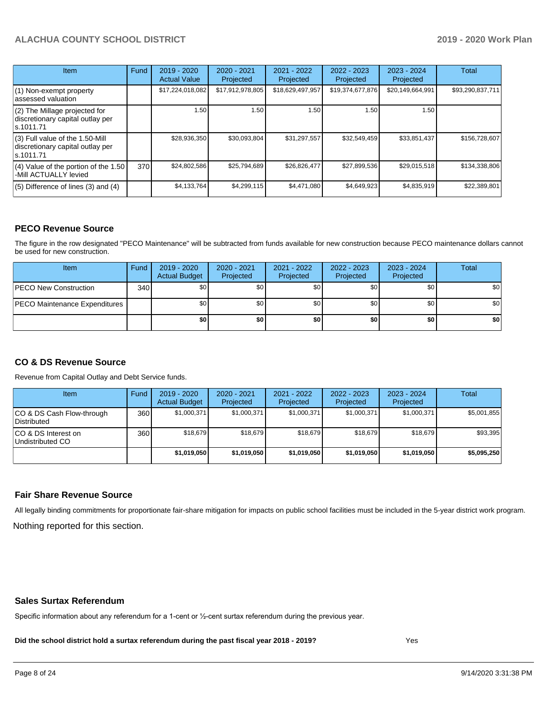| <b>Item</b>                                                                       | Fund | $2019 - 2020$<br><b>Actual Value</b> | 2020 - 2021<br>Projected | 2021 - 2022<br>Projected | $2022 - 2023$<br>Projected | $2023 - 2024$<br>Projected | Total            |
|-----------------------------------------------------------------------------------|------|--------------------------------------|--------------------------|--------------------------|----------------------------|----------------------------|------------------|
| $(1)$ Non-exempt property<br>lassessed valuation                                  |      | \$17,224,018,082                     | \$17,912,978,805         | \$18,629,497,957         | \$19,374,677,876           | \$20,149,664,991           | \$93,290,837,711 |
| (2) The Millage projected for<br>discretionary capital outlay per<br>ls.1011.71   |      | 1.50                                 | 1.50                     | 1.50                     | 1.50                       | 1.50                       |                  |
| (3) Full value of the 1.50-Mill<br>discretionary capital outlay per<br>ls.1011.71 |      | \$28,936,350                         | \$30,093,804             | \$31,297,557             | \$32,549,459               | \$33,851,437               | \$156,728,607    |
| $(4)$ Value of the portion of the 1.50<br>-Mill ACTUALLY levied                   | 370I | \$24,802,586                         | \$25,794,689             | \$26,826,477             | \$27,899,536               | \$29,015,518               | \$134,338,806    |
| $(5)$ Difference of lines $(3)$ and $(4)$                                         |      | \$4,133,764                          | \$4,299,115              | \$4,471,080              | \$4,649,923                | \$4,835,919                | \$22,389,801     |

#### **PECO Revenue Source**

The figure in the row designated "PECO Maintenance" will be subtracted from funds available for new construction because PECO maintenance dollars cannot be used for new construction.

| Item                                 | Fund | 2019 - 2020<br><b>Actual Budget</b> | 2020 - 2021<br>Projected | 2021 - 2022<br>Projected | $2022 - 2023$<br>Projected | 2023 - 2024<br>Projected | Total            |
|--------------------------------------|------|-------------------------------------|--------------------------|--------------------------|----------------------------|--------------------------|------------------|
| <b>PECO New Construction</b>         | 340  | \$0                                 | \$0 <sub>1</sub>         | \$0                      | \$0 <sub>0</sub>           | \$0 <sub>1</sub>         | \$0 <sub>1</sub> |
| <b>PECO Maintenance Expenditures</b> |      | ا 30                                | \$٥١                     | \$0                      | \$0 <sub>1</sub>           | \$0                      | \$0              |
|                                      |      | \$0                                 | \$0                      | \$0                      | \$0                        | \$0                      | \$0              |

### **CO & DS Revenue Source**

Revenue from Capital Outlay and Debt Service funds.

| Item                                      | Fund | 2019 - 2020<br><b>Actual Budget</b> | 2020 - 2021<br>Projected | 2021 - 2022<br>Projected | 2022 - 2023<br>Projected | $2023 - 2024$<br>Projected | Total       |
|-------------------------------------------|------|-------------------------------------|--------------------------|--------------------------|--------------------------|----------------------------|-------------|
| ICO & DS Cash Flow-through<br>Distributed | 360  | \$1.000.371                         | \$1,000,371              | \$1,000,371              | \$1,000,371              | \$1,000,371                | \$5,001,855 |
| ICO & DS Interest on<br>Undistributed CO  | 360  | \$18.679                            | \$18.679                 | \$18,679                 | \$18.679                 | \$18.679                   | \$93,395    |
|                                           |      | \$1.019.050                         | \$1,019,050              | \$1,019,050              | \$1,019,050              | \$1.019.050                | \$5,095,250 |

#### **Fair Share Revenue Source**

Nothing reported for this section. All legally binding commitments for proportionate fair-share mitigation for impacts on public school facilities must be included in the 5-year district work program.

#### **Sales Surtax Referendum**

Specific information about any referendum for a 1-cent or ½-cent surtax referendum during the previous year.

**Did the school district hold a surtax referendum during the past fiscal year 2018 - 2019?**

Yes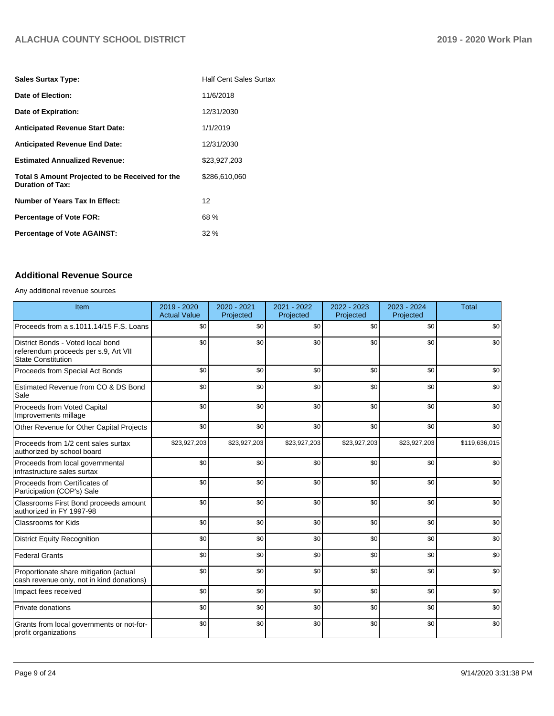| <b>Sales Surtax Type:</b>                                                   | <b>Half Cent Sales Surtax</b> |
|-----------------------------------------------------------------------------|-------------------------------|
| Date of Election:                                                           | 11/6/2018                     |
| Date of Expiration:                                                         | 12/31/2030                    |
| <b>Anticipated Revenue Start Date:</b>                                      | 1/1/2019                      |
| <b>Anticipated Revenue End Date:</b>                                        | 12/31/2030                    |
| <b>Estimated Annualized Revenue:</b>                                        | \$23,927,203                  |
| Total \$ Amount Projected to be Received for the<br><b>Duration of Tax:</b> | \$286,610,060                 |
| Number of Years Tax In Effect:                                              | 12                            |
| <b>Percentage of Vote FOR:</b>                                              | 68 %                          |
| <b>Percentage of Vote AGAINST:</b>                                          | $32\%$                        |

# **Additional Revenue Source**

Any additional revenue sources

| Item                                                                                                   | 2019 - 2020<br><b>Actual Value</b> | 2020 - 2021<br>Projected | 2021 - 2022<br>Projected | 2022 - 2023<br>Projected | 2023 - 2024<br>Projected | <b>Total</b>  |
|--------------------------------------------------------------------------------------------------------|------------------------------------|--------------------------|--------------------------|--------------------------|--------------------------|---------------|
| Proceeds from a s.1011.14/15 F.S. Loans                                                                | \$0                                | \$0                      | \$0                      | \$0                      | \$0                      | \$0           |
| District Bonds - Voted local bond<br>referendum proceeds per s.9, Art VII<br><b>State Constitution</b> | \$0                                | \$0                      | \$0                      | \$0                      | \$0                      | \$0           |
| Proceeds from Special Act Bonds                                                                        | \$0                                | \$0                      | \$0                      | \$0                      | \$0                      | \$0           |
| Estimated Revenue from CO & DS Bond<br>Sale                                                            | \$0                                | \$0                      | \$0                      | \$0                      | \$0                      | \$0           |
| Proceeds from Voted Capital<br>Improvements millage                                                    | \$0                                | \$0                      | \$0                      | \$0                      | \$0                      | \$0           |
| Other Revenue for Other Capital Projects                                                               | \$0                                | \$0                      | \$0                      | \$0                      | \$0                      | \$0           |
| Proceeds from 1/2 cent sales surtax<br>authorized by school board                                      | \$23,927,203                       | \$23,927,203             | \$23,927,203             | \$23,927,203             | \$23,927,203             | \$119,636,015 |
| Proceeds from local governmental<br>infrastructure sales surtax                                        | \$0                                | \$0                      | \$0                      | \$0                      | \$0                      | \$0           |
| Proceeds from Certificates of<br>Participation (COP's) Sale                                            | \$0                                | \$0                      | \$0                      | \$0                      | \$0                      | \$0           |
| Classrooms First Bond proceeds amount<br>authorized in FY 1997-98                                      | \$0                                | \$0                      | \$0                      | \$0                      | \$0                      | \$0           |
| <b>Classrooms for Kids</b>                                                                             | \$0                                | \$0                      | \$0                      | \$0                      | \$0                      | \$0           |
| <b>District Equity Recognition</b>                                                                     | \$0                                | \$0                      | \$0                      | \$0                      | \$0                      | \$0           |
| <b>Federal Grants</b>                                                                                  | \$0                                | \$0                      | \$0                      | \$0                      | \$0                      | \$0           |
| Proportionate share mitigation (actual<br>cash revenue only, not in kind donations)                    | \$0                                | \$0                      | \$0                      | \$0                      | \$0                      | \$0           |
| Impact fees received                                                                                   | \$0                                | \$0                      | \$0                      | \$0                      | \$0                      | \$0           |
| Private donations                                                                                      | \$0                                | \$0                      | \$0                      | \$0                      | \$0                      | \$0           |
| Grants from local governments or not-for-<br>profit organizations                                      | \$0                                | \$0                      | \$0                      | \$0                      | \$0                      | \$0           |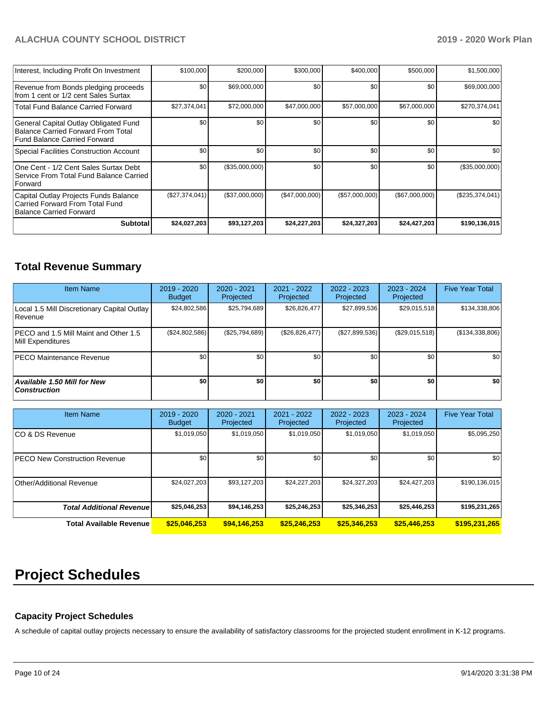| Interest, Including Profit On Investment                                                                    | \$100,000       | \$200,000      | \$300,000      | \$400,000      | \$500,000      | \$1,500,000       |
|-------------------------------------------------------------------------------------------------------------|-----------------|----------------|----------------|----------------|----------------|-------------------|
| Revenue from Bonds pledging proceeds<br>from 1 cent or 1/2 cent Sales Surtax                                | \$0             | \$69,000,000   | \$0            | \$0            | \$0            | \$69,000,000      |
| <b>Total Fund Balance Carried Forward</b>                                                                   | \$27,374,041    | \$72,000,000   | \$47,000,000   | \$57,000,000   | \$67,000,000   | \$270,374,041     |
| General Capital Outlay Obligated Fund<br>Balance Carried Forward From Total<br>Fund Balance Carried Forward | \$0             | \$0            | \$0            | \$0            | \$0            | \$0 <sub>1</sub>  |
| Special Facilities Construction Account                                                                     | \$0             | \$0            | \$0            | \$0            | \$0            | \$0               |
| One Cent - 1/2 Cent Sales Surtax Debt<br>Service From Total Fund Balance Carried<br>Forward                 | \$0             | (\$35,000,000) | \$0            | \$0            | \$0            | (\$35,000,000)    |
| Capital Outlay Projects Funds Balance<br>Carried Forward From Total Fund<br>Balance Carried Forward         | (S27, 374, 041) | (\$37,000,000) | (\$47,000,000) | (\$57,000,000) | (\$67,000,000) | $(\$235,374,041)$ |
| <b>Subtotal</b>                                                                                             | \$24,027,203    | \$93,127,203   | \$24,227,203   | \$24,327,203   | \$24,427,203   | \$190,136,015     |

# **Total Revenue Summary**

| <b>Item Name</b>                                           | $2019 - 2020$<br><b>Budget</b> | 2020 - 2021<br>Projected | 2021 - 2022<br>Projected | $2022 - 2023$<br>Projected | 2023 - 2024<br>Projected | <b>Five Year Total</b> |
|------------------------------------------------------------|--------------------------------|--------------------------|--------------------------|----------------------------|--------------------------|------------------------|
| Local 1.5 Mill Discretionary Capital Outlay<br>Revenue     | \$24,802,586                   | \$25,794,689             | \$26,826,477             | \$27,899,536               | \$29,015,518             | \$134,338,806          |
| PECO and 1.5 Mill Maint and Other 1.5<br>Mill Expenditures | (\$24,802,586)                 | (\$25,794,689)           | (\$26,826,477)           | (\$27,899,536)             | (\$29,015,518)           | (\$134,338,806)        |
| <b>IPECO Maintenance Revenue</b>                           | \$0 <sub>1</sub>               | \$0                      | \$0                      | \$0                        | \$0                      | \$0                    |
| <b>Available 1.50 Mill for New</b><br>  Construction       | \$0                            | \$0                      | \$0                      | \$0                        | \$0                      | \$0                    |

| <b>Item Name</b>                      | 2019 - 2020<br><b>Budget</b> | 2020 - 2021<br>Projected | 2021 - 2022<br>Projected | 2022 - 2023<br>Projected | $2023 - 2024$<br>Projected | <b>Five Year Total</b> |
|---------------------------------------|------------------------------|--------------------------|--------------------------|--------------------------|----------------------------|------------------------|
| ICO & DS Revenue                      | \$1,019,050                  | \$1,019,050              | \$1,019,050              | \$1,019,050              | \$1,019,050                | \$5,095,250            |
| <b>IPECO New Construction Revenue</b> | \$0 <sub>1</sub>             | \$0                      | \$0                      | \$0                      | \$0                        | \$0                    |
| Other/Additional Revenue              | \$24,027,203                 | \$93,127,203             | \$24,227,203             | \$24,327,203             | \$24,427,203               | \$190, 136, 015        |
| <b>Total Additional Revenuel</b>      | \$25,046,253                 | \$94,146,253             | \$25,246,253             | \$25,346,253             | \$25,446,253               | \$195,231,265          |
| Total Available Revenue               | \$25,046,253                 | \$94,146,253             | \$25,246,253             | \$25,346,253             | \$25,446,253               | \$195,231,265          |

# **Project Schedules**

### **Capacity Project Schedules**

A schedule of capital outlay projects necessary to ensure the availability of satisfactory classrooms for the projected student enrollment in K-12 programs.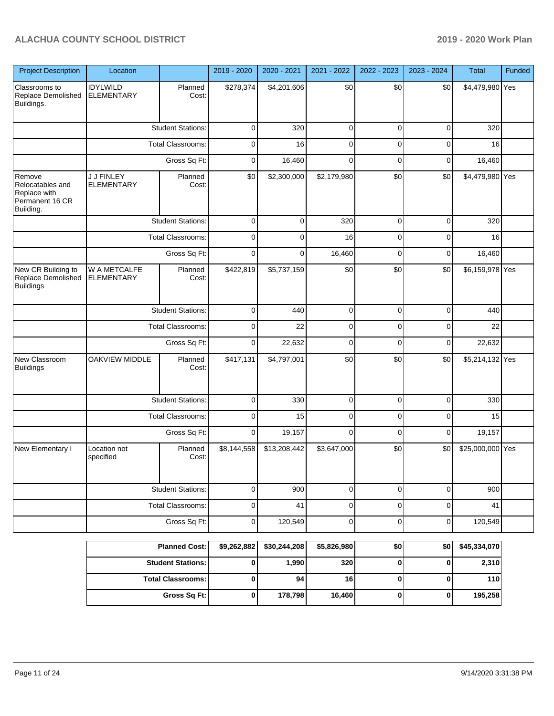| <b>Project Description</b>                                                 | Location                          |                          | 2019 - 2020 | 2020 - 2021  | 2021 - 2022 | 2022 - 2023 | 2023 - 2024 | Total            | Funded |
|----------------------------------------------------------------------------|-----------------------------------|--------------------------|-------------|--------------|-------------|-------------|-------------|------------------|--------|
| Classrooms to<br>Replace Demolished<br>Buildings.                          | IDYLWILD<br><b>ELEMENTARY</b>     | Planned<br>Cost:         | \$278,374   | \$4,201,606  | \$0         | \$0         | \$0         | \$4,479,980 Yes  |        |
|                                                                            |                                   | <b>Student Stations:</b> | $\mathbf 0$ | 320          | $\mathbf 0$ | $\mathbf 0$ | $\mathbf 0$ | 320              |        |
|                                                                            |                                   | Total Classrooms:        | 0           | 16           | 0           | $\mathbf 0$ | $\mathbf 0$ | 16               |        |
|                                                                            |                                   | Gross Sq Ft:             | 0           | 16,460       | 0           | $\mathbf 0$ | $\mathbf 0$ | 16,460           |        |
| Remove<br>Relocatables and<br>Replace with<br>Permanent 16 CR<br>Building. | J J FINLEY<br><b>ELEMENTARY</b>   | Planned<br>Cost:         | \$0         | \$2,300,000  | \$2,179,980 | \$0         | \$0         | \$4,479,980 Yes  |        |
|                                                                            |                                   | <b>Student Stations:</b> | $\mathbf 0$ | 0            | 320         | $\mathbf 0$ | $\mathbf 0$ | 320              |        |
|                                                                            |                                   | <b>Total Classrooms:</b> | $\mathbf 0$ | 0            | 16          | $\mathbf 0$ | $\mathbf 0$ | 16               |        |
|                                                                            |                                   | Gross Sq Ft:             | $\mathbf 0$ | 0            | 16,460      | $\mathbf 0$ | 0           | 16,460           |        |
| New CR Building to<br>Replace Demolished<br><b>Buildings</b>               | W A METCALFE<br><b>ELEMENTARY</b> | Planned<br>Cost:         | \$422,819   | \$5,737,159  | \$0         | \$0         | \$0         | \$6,159,978 Yes  |        |
|                                                                            |                                   | <b>Student Stations:</b> | 0           | 440          | 0           | $\mathbf 0$ | $\mathbf 0$ | 440              |        |
|                                                                            |                                   | <b>Total Classrooms:</b> | $\mathbf 0$ | 22           | 0           | $\mathbf 0$ | $\mathbf 0$ | 22               |        |
|                                                                            |                                   | Gross Sq Ft:             | 0           | 22,632       | 0           | $\mathbf 0$ | $\mathbf 0$ | 22,632           |        |
| New Classroom<br><b>Buildings</b>                                          | OAKVIEW MIDDLE                    | Planned<br>Cost:         | \$417,131   | \$4,797,001  | \$0         | \$0         | \$0         | \$5,214,132 Yes  |        |
|                                                                            |                                   | <b>Student Stations:</b> | 0           | 330          | $\mathbf 0$ | $\mathbf 0$ | 0           | 330              |        |
|                                                                            |                                   | <b>Total Classrooms:</b> | $\mathbf 0$ | 15           | 0           | $\mathbf 0$ | $\mathbf 0$ | 15               |        |
|                                                                            |                                   | Gross Sq Ft:             | 0           | 19,157       | $\mathbf 0$ | $\mathbf 0$ | 0           | 19,157           |        |
| New Elementary I                                                           | Location not<br>specified         | Planned<br>Cost:         | \$8,144,558 | \$13,208,442 | \$3,647,000 | \$0         | \$0         | \$25,000,000 Yes |        |
|                                                                            |                                   | <b>Student Stations:</b> | 0           | 900          | 0           | $\pmb{0}$   | $\pmb{0}$   | 900              |        |
|                                                                            |                                   | Total Classrooms:        | $\mathbf 0$ | 41           | $\mathbf 0$ | $\pmb{0}$   | $\pmb{0}$   | 41               |        |
|                                                                            |                                   | Gross Sq Ft:             | $\pmb{0}$   | 120,549      | 0           | $\pmb{0}$   | $\pmb{0}$   | 120,549          |        |
|                                                                            |                                   | <b>Planned Cost:</b>     | \$9,262,882 | \$30,244,208 | \$5,826,980 | \$0         | \$0         | \$45,334,070     |        |
|                                                                            |                                   | <b>Student Stations:</b> | $\pmb{0}$   | 1,990        | 320         | $\bf{0}$    | 0           | 2,310            |        |
|                                                                            |                                   | <b>Total Classrooms:</b> | $\pmb{0}$   | 94           | 16          | $\bf{0}$    | 0           | 110              |        |
|                                                                            |                                   | Gross Sq Ft:             | $\pmb{0}$   | 178,798      | 16,460      | $\bf{0}$    | $\bf{0}$    | 195,258          |        |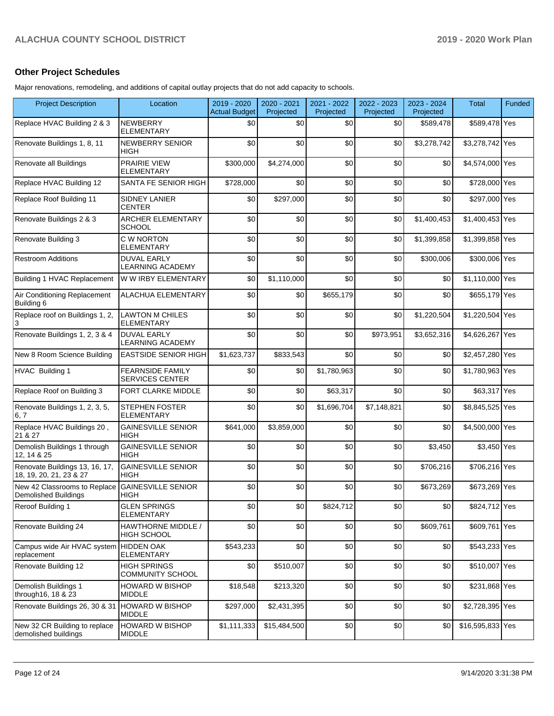### **Other Project Schedules**

Major renovations, remodeling, and additions of capital outlay projects that do not add capacity to schools.

| <b>Project Description</b>                                  | Location                                          | 2019 - 2020<br><b>Actual Budget</b> | 2020 - 2021<br>Projected | 2021 - 2022<br>Projected | 2022 - 2023<br>Projected | 2023 - 2024<br>Projected | Total            | Funded |
|-------------------------------------------------------------|---------------------------------------------------|-------------------------------------|--------------------------|--------------------------|--------------------------|--------------------------|------------------|--------|
| Replace HVAC Building 2 & 3                                 | <b>NEWBERRY</b><br><b>ELEMENTARY</b>              | \$0                                 | \$0                      | \$0                      | \$0                      | \$589.478                | \$589,478 Yes    |        |
| Renovate Buildings 1, 8, 11                                 | NEWBERRY SENIOR<br><b>HIGH</b>                    | \$0                                 | \$0                      | \$0                      | \$0                      | \$3,278,742              | \$3,278,742 Yes  |        |
| Renovate all Buildings                                      | <b>PRAIRIE VIEW</b><br><b>ELEMENTARY</b>          | \$300,000                           | \$4,274,000              | \$0                      | \$0                      | \$0                      | \$4,574,000 Yes  |        |
| Replace HVAC Building 12                                    | SANTA FE SENIOR HIGH                              | \$728,000                           | \$0                      | \$0                      | \$0                      | \$0                      | \$728,000 Yes    |        |
| Replace Roof Building 11                                    | <b>SIDNEY LANIER</b><br><b>CENTER</b>             | \$0                                 | \$297,000                | \$0                      | \$0                      | \$0                      | \$297,000 Yes    |        |
| Renovate Buildings 2 & 3                                    | ARCHER ELEMENTARY<br><b>SCHOOL</b>                | \$0                                 | \$0                      | \$0                      | \$0                      | \$1.400.453              | \$1,400,453 Yes  |        |
| Renovate Building 3                                         | C W NORTON<br><b>ELEMENTARY</b>                   | \$0                                 | \$0                      | \$0                      | \$0                      | \$1,399,858              | \$1,399,858 Yes  |        |
| <b>Restroom Additions</b>                                   | <b>DUVAL EARLY</b><br>LEARNING ACADEMY            | \$0                                 | \$0                      | \$0                      | \$0                      | \$300,006                | \$300,006 Yes    |        |
| Building 1 HVAC Replacement                                 | W W IRBY ELEMENTARY                               | \$0                                 | \$1,110,000              | \$0                      | \$0                      | \$0                      | \$1,110,000 Yes  |        |
| Air Conditioning Replacement<br>Building 6                  | <b>ALACHUA ELEMENTARY</b>                         | \$0                                 | \$0                      | \$655,179                | \$0                      | \$0                      | \$655,179 Yes    |        |
| Replace roof on Buildings 1, 2,<br>3                        | <b>LAWTON M CHILES</b><br><b>ELEMENTARY</b>       | \$0                                 | \$0                      | \$0                      | \$0                      | \$1,220,504              | \$1,220,504 Yes  |        |
| Renovate Buildings 1, 2, 3 & 4                              | <b>DUVAL EARLY</b><br><b>LEARNING ACADEMY</b>     | \$0                                 | \$0                      | \$0                      | \$973,951                | \$3,652,316              | \$4,626,267 Yes  |        |
| New 8 Room Science Building                                 | <b>EASTSIDE SENIOR HIGH</b>                       | \$1,623,737                         | \$833,543                | \$0                      | \$0                      | \$0                      | \$2,457,280 Yes  |        |
| HVAC Building 1                                             | <b>FEARNSIDE FAMILY</b><br><b>SERVICES CENTER</b> | \$0                                 | \$0                      | \$1,780,963              | \$0                      | \$0                      | \$1,780,963 Yes  |        |
| Replace Roof on Building 3                                  | FORT CLARKE MIDDLE                                | \$0                                 | \$0                      | \$63,317                 | \$0                      | \$0                      | \$63,317 Yes     |        |
| Renovate Buildings 1, 2, 3, 5,<br>6, 7                      | <b>STEPHEN FOSTER</b><br><b>ELEMENTARY</b>        | \$0                                 | \$0                      | \$1,696,704              | \$7,148,821              | \$0                      | \$8,845,525 Yes  |        |
| Replace HVAC Buildings 20,<br>21 & 27                       | <b>GAINESVILLE SENIOR</b><br><b>HIGH</b>          | \$641,000                           | \$3,859,000              | \$0                      | \$0                      | \$0                      | \$4,500,000 Yes  |        |
| Demolish Buildings 1 through<br>12, 14 & 25                 | <b>GAINESVILLE SENIOR</b><br><b>HIGH</b>          | \$0                                 | \$0                      | \$0                      | \$0                      | \$3,450                  | \$3,450 Yes      |        |
| Renovate Buildings 13, 16, 17,<br>18, 19, 20, 21, 23 & 27   | <b>GAINESVILLE SENIOR</b><br><b>HIGH</b>          | \$0                                 | \$0                      | \$0                      | \$0                      | \$706,216                | \$706,216 Yes    |        |
| New 42 Classrooms to Replace<br><b>Demolished Buildings</b> | <b>GAINESVILLE SENIOR</b><br><b>HIGH</b>          | \$0                                 | \$0                      | \$0                      | \$0                      | \$673,269                | \$673,269 Yes    |        |
| Reroof Building 1                                           | <b>GLEN SPRINGS</b><br><b>ELEMENTARY</b>          | \$0                                 | \$0                      | \$824,712                | \$0                      | \$0                      | \$824,712 Yes    |        |
| Renovate Building 24                                        | HAWTHORNE MIDDLE /<br><b>HIGH SCHOOL</b>          | \$0                                 | \$0                      | \$0                      | \$0                      | \$609,761                | \$609,761 Yes    |        |
| Campus wide Air HVAC system HIDDEN OAK<br>replacement       | <b>ELEMENTARY</b>                                 | \$543,233                           | \$0                      | \$0                      | \$0                      | \$0                      | \$543,233 Yes    |        |
| Renovate Building 12                                        | <b>HIGH SPRINGS</b><br>COMMUNITY SCHOOL           | \$0                                 | \$510,007                | \$0                      | \$0                      | \$0                      | \$510,007 Yes    |        |
| Demolish Buildings 1<br>through16, 18 & 23                  | <b>HOWARD W BISHOP</b><br><b>MIDDLE</b>           | \$18,548                            | \$213,320                | \$0                      | \$0                      | \$0                      | \$231,868 Yes    |        |
| Renovate Buildings 26, 30 & 31 HOWARD W BISHOP              | <b>MIDDLE</b>                                     | \$297,000                           | \$2,431,395              | \$0                      | \$0                      | \$0                      | \$2,728,395 Yes  |        |
| New 32 CR Building to replace<br>demolished buildings       | <b>HOWARD W BISHOP</b><br><b>MIDDLE</b>           | \$1,111,333                         | \$15,484,500             | \$0                      | \$0                      | \$0                      | \$16,595,833 Yes |        |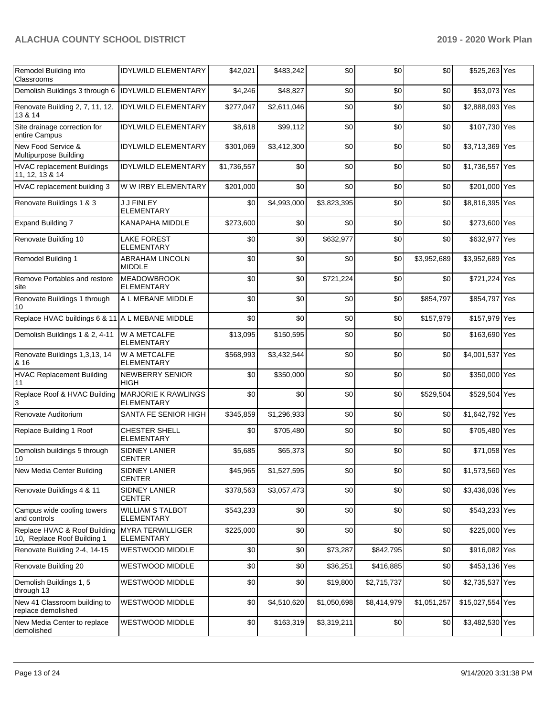| Remodel Building into<br>Classrooms                         | <b>IDYLWILD ELEMENTARY</b>                      | \$42,021    | \$483,242   | \$0         | \$0         | \$0         | \$525,263 Yes    |  |
|-------------------------------------------------------------|-------------------------------------------------|-------------|-------------|-------------|-------------|-------------|------------------|--|
| Demolish Buildings 3 through 6  IDYLWILD ELEMENTARY         |                                                 | \$4,246     | \$48,827    | \$0         | \$0         | \$0         | \$53,073 Yes     |  |
| Renovate Building 2, 7, 11, 12,<br>13 & 14                  | <b>IDYLWILD ELEMENTARY</b>                      | \$277,047   | \$2,611,046 | \$0         | \$0         | \$0         | \$2,888,093 Yes  |  |
| Site drainage correction for<br>entire Campus               | <b>IDYLWILD ELEMENTARY</b>                      | \$8,618     | \$99,112    | \$0         | \$0         | \$0         | \$107,730 Yes    |  |
| New Food Service &<br>Multipurpose Building                 | <b>IDYLWILD ELEMENTARY</b>                      | \$301,069   | \$3,412,300 | \$0         | \$0         | \$0         | \$3,713,369 Yes  |  |
| <b>HVAC replacement Buildings</b><br>11, 12, 13 & 14        | <b>IDYLWILD ELEMENTARY</b>                      | \$1,736,557 | \$0         | \$0         | \$0         | \$0         | \$1,736,557 Yes  |  |
| HVAC replacement building 3                                 | W W IRBY ELEMENTARY                             | \$201,000   | \$0         | \$0         | \$0         | \$0         | \$201,000 Yes    |  |
| Renovate Buildings 1 & 3                                    | J J FINLEY<br><b>ELEMENTARY</b>                 | \$0         | \$4,993,000 | \$3,823,395 | \$0         | \$0         | \$8,816,395 Yes  |  |
| <b>Expand Building 7</b>                                    | KANAPAHA MIDDLE                                 | \$273,600   | \$0         | \$0         | \$0         | \$0         | \$273,600 Yes    |  |
| Renovate Building 10                                        | <b>LAKE FOREST</b><br><b>ELEMENTARY</b>         | \$0         | \$0         | \$632,977   | \$0         | \$0         | \$632,977 Yes    |  |
| Remodel Building 1                                          | ABRAHAM LINCOLN<br><b>MIDDLE</b>                | \$0         | \$0         | \$0         | \$0         | \$3,952,689 | \$3,952,689 Yes  |  |
| Remove Portables and restore<br>site                        | <b>MEADOWBROOK</b><br><b>ELEMENTARY</b>         | \$0         | \$0         | \$721,224   | \$0         | \$0         | \$721,224 Yes    |  |
| Renovate Buildings 1 through<br>10                          | A L MEBANE MIDDLE                               | \$0         | \$0         | \$0         | \$0         | \$854,797   | \$854,797 Yes    |  |
| Replace HVAC buildings 6 & 11 A L MEBANE MIDDLE             |                                                 | \$0         | \$0         | \$0         | \$0         | \$157,979   | \$157,979 Yes    |  |
| Demolish Buildings 1 & 2, 4-11                              | <b>W A METCALFE</b><br><b>ELEMENTARY</b>        | \$13,095    | \$150,595   | \$0         | \$0         | \$0         | \$163,690 Yes    |  |
| Renovate Buildings 1,3,13, 14<br>& 16                       | W A METCALFE<br><b>ELEMENTARY</b>               | \$568,993   | \$3,432,544 | \$0         | \$0         | \$0         | \$4,001,537 Yes  |  |
| <b>HVAC Replacement Building</b><br>11                      | NEWBERRY SENIOR<br><b>HIGH</b>                  | \$0         | \$350,000   | \$0         | \$0         | \$0         | \$350,000 Yes    |  |
| Replace Roof & HVAC Building<br>3                           | <b>MARJORIE K RAWLINGS</b><br><b>ELEMENTARY</b> | \$0         | \$0         | \$0         | \$0         | \$529,504   | \$529,504 Yes    |  |
| Renovate Auditorium                                         | SANTA FE SENIOR HIGH                            | \$345,859   | \$1,296,933 | \$0         | \$0         | \$0         | \$1,642,792 Yes  |  |
| Replace Building 1 Roof                                     | CHESTER SHELL<br><b>ELEMENTARY</b>              | \$0         | \$705,480   | \$0         | \$0         | \$0         | \$705,480 Yes    |  |
| Demolish buildings 5 through<br>10                          | <b>SIDNEY LANIER</b><br><b>CENTER</b>           | \$5,685     | \$65,373    | \$0         | \$0         | \$0         | \$71,058 Yes     |  |
| New Media Center Building                                   | <b>SIDNEY LANIER</b><br><b>CENTER</b>           | \$45,965    | \$1,527,595 | \$0         | \$0         | \$0         | \$1,573,560 Yes  |  |
| Renovate Buildings 4 & 11                                   | SIDNEY LANIER<br><b>CENTER</b>                  | \$378,563   | \$3,057,473 | \$0         | \$0         | \$0         | \$3,436,036 Yes  |  |
| Campus wide cooling towers<br>and controls                  | <b>WILLIAM S TALBOT</b><br><b>ELEMENTARY</b>    | \$543,233   | \$0         | \$0         | \$0         | \$0         | \$543,233 Yes    |  |
| Replace HVAC & Roof Building<br>10, Replace Roof Building 1 | <b>MYRA TERWILLIGER</b><br><b>ELEMENTARY</b>    | \$225,000   | \$0         | \$0         | \$0         | \$0         | \$225,000 Yes    |  |
| Renovate Building 2-4, 14-15                                | <b>WESTWOOD MIDDLE</b>                          | \$0         | \$0         | \$73,287    | \$842,795   | \$0         | \$916,082 Yes    |  |
| Renovate Building 20                                        | <b>WESTWOOD MIDDLE</b>                          | \$0         | \$0         | \$36,251    | \$416,885   | \$0         | \$453,136 Yes    |  |
| Demolish Buildings 1, 5<br>through 13                       | WESTWOOD MIDDLE                                 | \$0         | \$0         | \$19,800    | \$2,715,737 | \$0         | \$2,735,537 Yes  |  |
| New 41 Classroom building to<br>replace demolished          | WESTWOOD MIDDLE                                 | \$0         | \$4,510,620 | \$1,050,698 | \$8,414,979 | \$1,051,257 | \$15,027,554 Yes |  |
| New Media Center to replace<br>demolished                   | WESTWOOD MIDDLE                                 | \$0         | \$163,319   | \$3,319,211 | \$0         | \$0         | \$3,482,530 Yes  |  |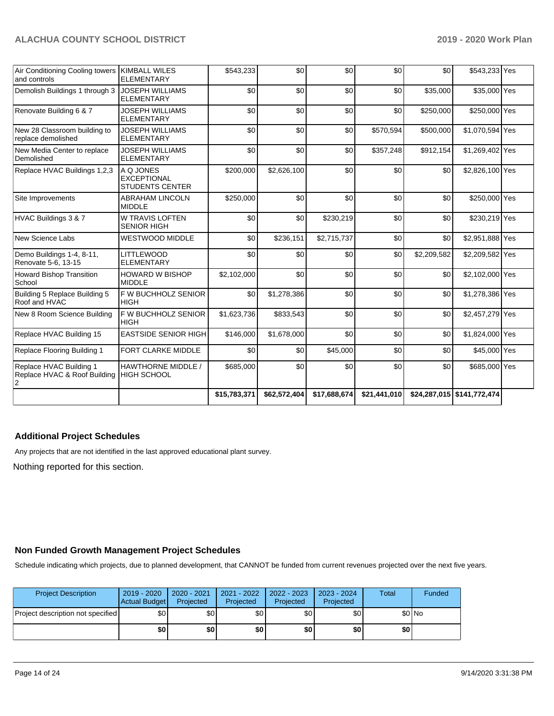| Air Conditioning Cooling towers<br>and controls         | <b>KIMBALL WILES</b><br><b>ELEMENTARY</b>                 | \$543,233    | \$0          | \$0          | \$0          | \$0         | \$543,233 Yes               |  |
|---------------------------------------------------------|-----------------------------------------------------------|--------------|--------------|--------------|--------------|-------------|-----------------------------|--|
| Demolish Buildings 1 through 3                          | <b>JOSEPH WILLIAMS</b><br><b>ELEMENTARY</b>               | \$0          | \$0          | \$0          | \$0          | \$35,000    | \$35,000 Yes                |  |
| Renovate Building 6 & 7                                 | JOSEPH WILLIAMS<br><b>ELEMENTARY</b>                      | \$0          | \$0          | \$0          | \$0          | \$250,000   | \$250,000 Yes               |  |
| New 28 Classroom building to<br>replace demolished      | <b>JOSEPH WILLIAMS</b><br><b>ELEMENTARY</b>               | \$0          | \$0          | \$0          | \$570,594    | \$500,000   | \$1,070,594 Yes             |  |
| New Media Center to replace<br>Demolished               | JOSEPH WILLIAMS<br><b>ELEMENTARY</b>                      | \$0          | \$0          | \$0          | \$357,248    | \$912,154   | \$1,269,402 Yes             |  |
| Replace HVAC Buildings 1,2,3                            | A Q JONES<br><b>EXCEPTIONAL</b><br><b>STUDENTS CENTER</b> | \$200,000    | \$2,626,100  | \$0          | \$0          | \$0         | \$2,826,100 Yes             |  |
| Site Improvements                                       | <b>ABRAHAM LINCOLN</b><br><b>MIDDLE</b>                   | \$250,000    | \$0          | \$0          | \$0          | \$0         | \$250,000 Yes               |  |
| HVAC Buildings 3 & 7                                    | <b>W TRAVIS LOFTEN</b><br><b>SENIOR HIGH</b>              | \$0          | \$0          | \$230,219    | \$0          | \$0         | \$230,219 Yes               |  |
| New Science Labs                                        | <b>WESTWOOD MIDDLE</b>                                    | \$0          | \$236,151    | \$2,715,737  | \$0          | \$0         | \$2,951,888 Yes             |  |
| Demo Buildings 1-4, 8-11,<br>Renovate 5-6, 13-15        | <b>LITTLEWOOD</b><br><b>ELEMENTARY</b>                    | \$0          | \$0          | \$0          | \$0          | \$2,209,582 | \$2,209,582 Yes             |  |
| Howard Bishop Transition<br>School                      | <b>HOWARD W BISHOP</b><br><b>MIDDLE</b>                   | \$2,102,000  | \$0          | \$0          | \$0          | \$0         | \$2,102,000 Yes             |  |
| Building 5 Replace Building 5<br>Roof and HVAC          | F W BUCHHOLZ SENIOR<br><b>HIGH</b>                        | \$0          | \$1,278,386  | \$0          | \$0          | \$0         | \$1,278,386 Yes             |  |
| New 8 Room Science Building                             | F W BUCHHOLZ SENIOR<br><b>HIGH</b>                        | \$1,623,736  | \$833,543    | \$0          | \$0          | \$0         | \$2,457,279 Yes             |  |
| Replace HVAC Building 15                                | <b>EASTSIDE SENIOR HIGH</b>                               | \$146,000    | \$1,678,000  | \$0          | \$0          | \$0         | \$1,824,000 Yes             |  |
| Replace Flooring Building 1                             | <b>FORT CLARKE MIDDLE</b>                                 | \$0          | \$0          | \$45,000     | \$0          | \$0         | \$45,000 Yes                |  |
| Replace HVAC Building 1<br>Replace HVAC & Roof Building | <b>HAWTHORNE MIDDLE /</b><br><b>HIGH SCHOOL</b>           | \$685,000    | \$0          | \$0          | \$0          | \$0         | \$685,000 Yes               |  |
|                                                         |                                                           | \$15,783,371 | \$62,572,404 | \$17,688,674 | \$21,441,010 |             | $$24,287,015$ \$141,772,474 |  |

# **Additional Project Schedules**

Any projects that are not identified in the last approved educational plant survey.

Nothing reported for this section.

### **Non Funded Growth Management Project Schedules**

Schedule indicating which projects, due to planned development, that CANNOT be funded from current revenues projected over the next five years.

| <b>Project Description</b>        | 2019 - 2020<br>Actual Budget | 2020 - 2021<br>Projected | 2021 - 2022<br>Projected | 2022 - 2023<br>Projected | 2023 - 2024<br>Projected | <b>Total</b> | Funded  |
|-----------------------------------|------------------------------|--------------------------|--------------------------|--------------------------|--------------------------|--------------|---------|
| Project description not specified | \$0                          | \$0                      | \$0                      | \$0                      | \$0                      |              | $$0$ No |
|                                   | \$0                          | \$0                      | \$0                      | \$0                      | \$0                      | \$0          |         |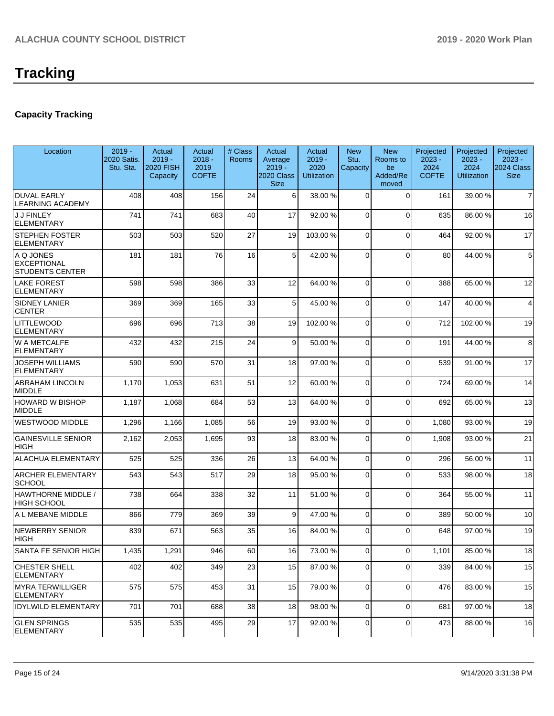# **Capacity Tracking**

| Location                                                  | $2019 -$<br>2020 Satis.<br>Stu. Sta. | Actual<br>$2019 -$<br><b>2020 FISH</b><br>Capacity | Actual<br>$2018 -$<br>2019<br><b>COFTE</b> | # Class<br><b>Rooms</b> | Actual<br>Average<br>$2019 -$<br>2020 Class<br><b>Size</b> | Actual<br>$2019 -$<br>2020<br><b>Utilization</b> | <b>New</b><br>Stu.<br>Capacity | <b>New</b><br>Rooms to<br>be<br>Added/Re<br>moved | Projected<br>$2023 -$<br>2024<br><b>COFTE</b> | Projected<br>$2023 -$<br>2024<br><b>Utilization</b> | Projected<br>$2023 -$<br>2024 Class<br><b>Size</b> |
|-----------------------------------------------------------|--------------------------------------|----------------------------------------------------|--------------------------------------------|-------------------------|------------------------------------------------------------|--------------------------------------------------|--------------------------------|---------------------------------------------------|-----------------------------------------------|-----------------------------------------------------|----------------------------------------------------|
| <b>DUVAL EARLY</b><br><b>LEARNING ACADEMY</b>             | 408                                  | 408                                                | 156                                        | 24                      | 6                                                          | 38.00 %                                          | $\Omega$                       | $\Omega$                                          | 161                                           | 39.00 %                                             | $\overline{7}$                                     |
| <b>J J FINLEY</b><br>ELEMENTARY                           | 741                                  | 741                                                | 683                                        | 40                      | 17                                                         | 92.00 %                                          | $\Omega$                       | $\Omega$                                          | 635                                           | 86.00 %                                             | 16                                                 |
| <b>STEPHEN FOSTER</b><br><b>ELEMENTARY</b>                | 503                                  | 503                                                | 520                                        | 27                      | 19                                                         | 103.00%                                          | $\mathbf 0$                    | $\Omega$                                          | 464                                           | 92.00%                                              | 17                                                 |
| A Q JONES<br><b>EXCEPTIONAL</b><br><b>STUDENTS CENTER</b> | 181                                  | 181                                                | 76                                         | 16                      | 5                                                          | 42.00 %                                          | $\Omega$                       | $\Omega$                                          | 80                                            | 44.00%                                              | 5                                                  |
| <b>LAKE FOREST</b><br><b>ELEMENTARY</b>                   | 598                                  | 598                                                | 386                                        | 33                      | 12                                                         | 64.00%                                           | $\Omega$                       | $\Omega$                                          | 388                                           | 65.00 %                                             | 12                                                 |
| <b>SIDNEY LANIER</b><br><b>CENTER</b>                     | 369                                  | 369                                                | 165                                        | 33                      | 5                                                          | 45.00 %                                          | $\Omega$                       | $\Omega$                                          | 147                                           | 40.00%                                              | $\overline{4}$                                     |
| LITTLEWOOD<br><b>ELEMENTARY</b>                           | 696                                  | 696                                                | 713                                        | 38                      | 19                                                         | 102.00%                                          | $\Omega$                       | $\Omega$                                          | 712                                           | 102.00%                                             | 19                                                 |
| W A METCALFE<br><b>ELEMENTARY</b>                         | 432                                  | 432                                                | 215                                        | 24                      | 9                                                          | 50.00 %                                          | $\Omega$                       | $\Omega$                                          | 191                                           | 44.00%                                              | 8                                                  |
| <b>JOSEPH WILLIAMS</b><br><b>ELEMENTARY</b>               | 590                                  | 590                                                | 570                                        | 31                      | 18                                                         | 97.00 %                                          | $\Omega$                       | $\Omega$                                          | 539                                           | 91.00%                                              | 17                                                 |
| <b>ABRAHAM LINCOLN</b><br><b>MIDDLE</b>                   | 1,170                                | 1,053                                              | 631                                        | 51                      | 12                                                         | 60.00 %                                          | $\Omega$                       | $\Omega$                                          | 724                                           | 69.00%                                              | 14                                                 |
| <b>HOWARD W BISHOP</b><br><b>MIDDLE</b>                   | 1,187                                | 1,068                                              | 684                                        | 53                      | 13                                                         | 64.00%                                           | $\Omega$                       | $\Omega$                                          | 692                                           | 65.00 %                                             | 13                                                 |
| <b>WESTWOOD MIDDLE</b>                                    | 1,296                                | 1,166                                              | 1,085                                      | 56                      | 19                                                         | 93.00 %                                          | $\mathbf 0$                    | $\Omega$                                          | 1,080                                         | 93.00 %                                             | 19                                                 |
| <b>GAINESVILLE SENIOR</b><br><b>HIGH</b>                  | 2,162                                | 2,053                                              | 1,695                                      | 93                      | 18                                                         | 83.00 %                                          | $\Omega$                       | $\Omega$                                          | 1,908                                         | 93.00 %                                             | 21                                                 |
| <b>ALACHUA ELEMENTARY</b>                                 | 525                                  | 525                                                | 336                                        | 26                      | 13                                                         | 64.00 %                                          | $\Omega$                       | $\Omega$                                          | 296                                           | 56.00 %                                             | 11                                                 |
| <b>ARCHER ELEMENTARY</b><br><b>SCHOOL</b>                 | 543                                  | 543                                                | 517                                        | 29                      | 18                                                         | 95.00 %                                          | $\Omega$                       | $\Omega$                                          | 533                                           | 98.00%                                              | 18                                                 |
| <b>HAWTHORNE MIDDLE /</b><br><b>HIGH SCHOOL</b>           | 738                                  | 664                                                | 338                                        | 32                      | 11                                                         | 51.00 %                                          | $\Omega$                       | $\Omega$                                          | 364                                           | 55.00 %                                             | 11                                                 |
| A L MEBANE MIDDLE                                         | 866                                  | 779                                                | 369                                        | 39                      | 9                                                          | 47.00 %                                          | $\mathbf 0$                    | $\Omega$                                          | 389                                           | 50.00 %                                             | 10                                                 |
| NEWBERRY SENIOR<br><b>HIGH</b>                            | 839                                  | 671                                                | 563                                        | 35                      | 16                                                         | 84.00 %                                          | $\Omega$                       | $\Omega$                                          | 648                                           | 97.00%                                              | 19                                                 |
| SANTA FE SENIOR HIGH                                      | 1,435                                | 1,291                                              | 946                                        | 60                      | 16                                                         | 73.00 %                                          | $\mathbf 0$                    | $\Omega$                                          | 1,101                                         | 85.00 %                                             | 18                                                 |
| CHESTER SHELL<br><b>ELEMENTARY</b>                        | 402                                  | 402                                                | 349                                        | 23                      | 15                                                         | 87.00 %                                          | 0                              | $\Omega$                                          | 339                                           | 84.00%                                              | 15                                                 |
| MYRA TERWILLIGER<br> ELEMENTARY                           | 575                                  | 575                                                | 453                                        | 31                      | 15                                                         | 79.00 %                                          | 0                              | $\Omega$                                          | 476                                           | 83.00 %                                             | 15                                                 |
| <b>IDYLWILD ELEMENTARY</b>                                | 701                                  | 701                                                | 688                                        | 38                      | 18                                                         | 98.00 %                                          | $\mathbf 0$                    | $\Omega$                                          | 681                                           | 97.00%                                              | 18                                                 |
| <b>GLEN SPRINGS</b><br><b>ELEMENTARY</b>                  | 535                                  | 535                                                | 495                                        | 29                      | 17                                                         | 92.00 %                                          | 0                              | $\mathbf 0$                                       | 473                                           | 88.00%                                              | 16                                                 |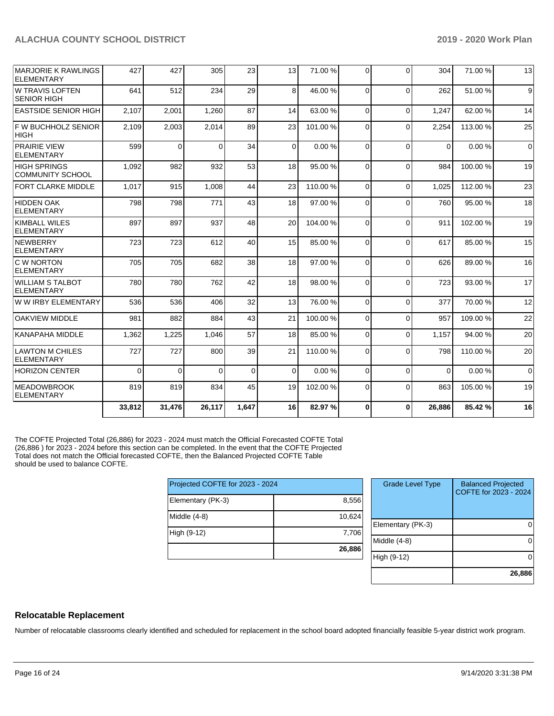| <b>IMARJORIE K RAWLINGS</b><br><b>ELEMENTARY</b> | 427      | 427            | 305      | 23          | 13       | 71.00 % | $\Omega$       | $\Omega$ | 304      | 71.00 %  | 13          |
|--------------------------------------------------|----------|----------------|----------|-------------|----------|---------|----------------|----------|----------|----------|-------------|
| <b>W TRAVIS LOFTEN</b><br><b>SENIOR HIGH</b>     | 641      | 512            | 234      | 29          | 8        | 46.00 % | $\Omega$       | $\Omega$ | 262      | 51.00%   | 9           |
| <b>EASTSIDE SENIOR HIGH</b>                      | 2,107    | 2,001          | 1,260    | 87          | 14       | 63.00 % | $\Omega$       | $\Omega$ | 1,247    | 62.00 %  | 14          |
| F W BUCHHOLZ SENIOR<br><b>HIGH</b>               | 2,109    | 2,003          | 2,014    | 89          | 23       | 101.00% | $\Omega$       | $\Omega$ | 2,254    | 113.00 % | 25          |
| <b>PRAIRIE VIEW</b><br><b>ELEMENTARY</b>         | 599      | $\overline{0}$ | $\Omega$ | 34          | $\Omega$ | 0.00%   | $\Omega$       | $\Omega$ | $\Omega$ | 0.00%    | $\mathbf 0$ |
| <b>HIGH SPRINGS</b><br><b>COMMUNITY SCHOOL</b>   | 1,092    | 982            | 932      | 53          | 18       | 95.00 % | $\Omega$       | $\Omega$ | 984      | 100.00%  | 19          |
| <b>FORT CLARKE MIDDLE</b>                        | 1,017    | 915            | 1,008    | 44          | 23       | 110.00% | $\Omega$       | $\Omega$ | 1,025    | 112.00%  | 23          |
| <b>HIDDEN OAK</b><br><b>ELEMENTARY</b>           | 798      | 798            | 771      | 43          | 18       | 97.00 % | $\Omega$       | $\Omega$ | 760      | 95.00 %  | 18          |
| <b>KIMBALL WILES</b><br><b>ELEMENTARY</b>        | 897      | 897            | 937      | 48          | 20       | 104.00% | $\Omega$       | $\Omega$ | 911      | 102.00%  | 19          |
| NEWBERRY<br><b>ELEMENTARY</b>                    | 723      | 723            | 612      | 40          | 15       | 85.00 % | $\Omega$       | $\Omega$ | 617      | 85.00 %  | 15          |
| <b>C W NORTON</b><br><b>ELEMENTARY</b>           | 705      | 705            | 682      | 38          | 18       | 97.00 % | $\Omega$       | $\Omega$ | 626      | 89.00 %  | 16          |
| <b>WILLIAM S TALBOT</b><br><b>ELEMENTARY</b>     | 780      | 780            | 762      | 42          | 18       | 98.00 % | 0              | $\Omega$ | 723      | 93.00 %  | 17          |
| W W IRBY ELEMENTARY                              | 536      | 536            | 406      | 32          | 13       | 76.00 % | $\Omega$       | $\Omega$ | 377      | 70.00 %  | 12          |
| <b>OAKVIEW MIDDLE</b>                            | 981      | 882            | 884      | 43          | 21       | 100.00% | $\Omega$       | $\Omega$ | 957      | 109.00%  | 22          |
| <b>KANAPAHA MIDDLE</b>                           | 1,362    | 1,225          | 1,046    | 57          | 18       | 85.00 % | $\Omega$       | $\Omega$ | 1.157    | 94.00 %  | 20          |
| <b>LAWTON M CHILES</b><br><b>ELEMENTARY</b>      | 727      | 727            | 800      | 39          | 21       | 110.00% | $\Omega$       | $\Omega$ | 798      | 110.00%  | 20          |
| <b>HORIZON CENTER</b>                            | $\Omega$ | $\Omega$       | $\Omega$ | $\mathbf 0$ | $\Omega$ | 0.00%   | $\Omega$       | $\Omega$ | $\Omega$ | 0.00%    | $\Omega$    |
| <b>MEADOWBROOK</b><br>ELEMENTARY                 | 819      | 819            | 834      | 45          | 19       | 102.00% | $\overline{0}$ | $\Omega$ | 863      | 105.00%  | 19          |
|                                                  | 33,812   | 31,476         | 26,117   | 1.647       | 16       | 82.97%  | 0              | $\bf{0}$ | 26,886   | 85.42%   | 16          |

The COFTE Projected Total (26,886) for 2023 - 2024 must match the Official Forecasted COFTE Total (26,886 ) for 2023 - 2024 before this section can be completed. In the event that the COFTE Projected Total does not match the Official forecasted COFTE, then the Balanced Projected COFTE Table should be used to balance COFTE.

| Projected COFTE for 2023 - 2024 |        |  |  |  |  |  |
|---------------------------------|--------|--|--|--|--|--|
| Elementary (PK-3)               | 8,556  |  |  |  |  |  |
| Middle (4-8)                    | 10,624 |  |  |  |  |  |
| High (9-12)                     | 7,706  |  |  |  |  |  |
|                                 | 26,886 |  |  |  |  |  |

| <b>Grade Level Type</b> | <b>Balanced Projected</b><br>COFTE for 2023 - 2024 |
|-------------------------|----------------------------------------------------|
| Elementary (PK-3)       |                                                    |
| Middle (4-8)            |                                                    |
| High (9-12)             |                                                    |
|                         | 26,886                                             |

#### **Relocatable Replacement**

Number of relocatable classrooms clearly identified and scheduled for replacement in the school board adopted financially feasible 5-year district work program.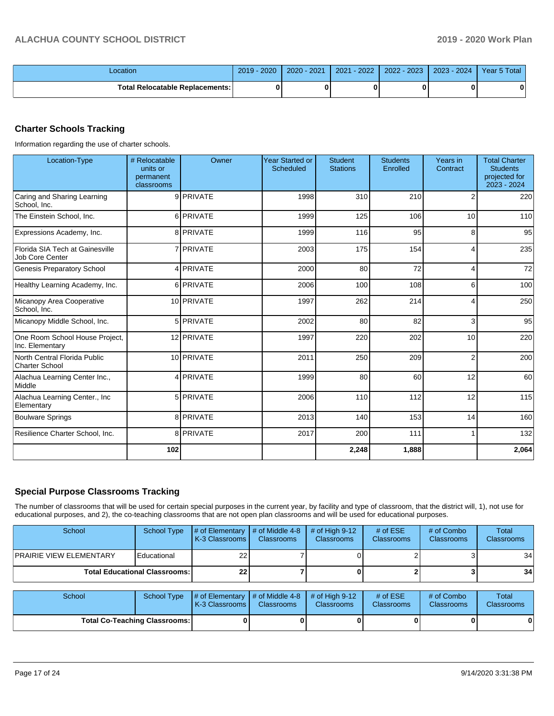| _ocation                          | 2019<br>$-2020$ | 2020 - 2021 | $-2022$<br>2021 | $2 - 2023$<br>2022 | $-2024$<br>$2023 -$ | Year 5 Total |
|-----------------------------------|-----------------|-------------|-----------------|--------------------|---------------------|--------------|
| Total Relocatable Replacements: I |                 |             |                 |                    |                     |              |

# **Charter Schools Tracking**

Information regarding the use of charter schools.

| Location-Type                                      | # Relocatable<br>units or<br>permanent<br>classrooms | Owner            | <b>Year Started or</b><br><b>Scheduled</b> | <b>Student</b><br><b>Stations</b> | <b>Students</b><br>Enrolled | Years in<br>Contract | <b>Total Charter</b><br><b>Students</b><br>projected for<br>2023 - 2024 |
|----------------------------------------------------|------------------------------------------------------|------------------|--------------------------------------------|-----------------------------------|-----------------------------|----------------------|-------------------------------------------------------------------------|
| Caring and Sharing Learning<br>School, Inc.        |                                                      | 9 PRIVATE        | 1998                                       | 310                               | 210                         | 2                    | 220                                                                     |
| The Einstein School, Inc.                          |                                                      | 6 PRIVATE        | 1999                                       | 125                               | 106                         | 10                   | 110                                                                     |
| Expressions Academy, Inc.                          |                                                      | 8 PRIVATE        | 1999                                       | 116                               | 95                          | 8                    | 95                                                                      |
| Florida SIA Tech at Gainesville<br>Job Core Center |                                                      | 7 <b>PRIVATE</b> | 2003                                       | 175                               | 154                         | 4                    | 235                                                                     |
| <b>Genesis Preparatory School</b>                  |                                                      | 4 PRIVATE        | 2000                                       | 80                                | 72                          | 4                    | 72                                                                      |
| Healthy Learning Academy, Inc.                     |                                                      | 6 PRIVATE        | 2006                                       | 100                               | 108                         | 6                    | 100                                                                     |
| Micanopy Area Cooperative<br>School, Inc.          |                                                      | 10 PRIVATE       | 1997                                       | 262                               | 214                         | 4                    | 250                                                                     |
| Micanopy Middle School, Inc.                       |                                                      | 5 PRIVATE        | 2002                                       | 80                                | 82                          | 3                    | 95                                                                      |
| One Room School House Project,<br>Inc. Elementary  |                                                      | 12 PRIVATE       | 1997                                       | 220                               | 202                         | 10                   | 220                                                                     |
| North Central Florida Public<br>Charter School     |                                                      | 10 PRIVATE       | 2011                                       | 250                               | 209                         | $\overline{2}$       | 200                                                                     |
| Alachua Learning Center Inc.,<br>Middle            |                                                      | 4 PRIVATE        | 1999                                       | 80                                | 60                          | 12                   | 60                                                                      |
| Alachua Learning Center., Inc<br>Elementary        |                                                      | 5 PRIVATE        | 2006                                       | 110                               | 112                         | 12                   | 115                                                                     |
| <b>Boulware Springs</b>                            |                                                      | 8 PRIVATE        | 2013                                       | 140                               | 153                         | 14                   | 160                                                                     |
| Resilience Charter School, Inc.                    |                                                      | 8 PRIVATE        | 2017                                       | 200                               | 111                         |                      | 132                                                                     |
|                                                    | 102                                                  |                  |                                            | 2,248                             | 1,888                       |                      | 2,064                                                                   |

## **Special Purpose Classrooms Tracking**

The number of classrooms that will be used for certain special purposes in the current year, by facility and type of classroom, that the district will, 1), not use for educational purposes, and 2), the co-teaching classrooms that are not open plan classrooms and will be used for educational purposes.

| School                                 | School Type | $\parallel$ # of Elementary $\parallel$ # of Middle 4-8 $\parallel$<br><b>K-3 Classrooms L</b> | <b>Classrooms</b> | $\#$ of High 9-12<br><b>Classrooms</b> | # of $ESE$<br><b>Classrooms</b> | # of Combo<br><b>Classrooms</b> | Total<br><b>Classrooms</b> |
|----------------------------------------|-------------|------------------------------------------------------------------------------------------------|-------------------|----------------------------------------|---------------------------------|---------------------------------|----------------------------|
| <b>PRAIRIE VIEW ELEMENTARY</b>         | Educational | 22                                                                                             |                   |                                        |                                 |                                 | 34                         |
| <b>Total Educational Classrooms: I</b> | 22          |                                                                                                |                   |                                        |                                 | 34                              |                            |

| School                               |  | School Type $\mu$ of Elementary $\mu$ of Middle 4-8 $\mu$ of High 9-12<br>K-3 Classrooms I | <b>Classrooms</b> | <b>Classrooms</b> | # of $ESE$<br><b>Classrooms</b> | # of Combo<br><b>Classrooms</b> | <b>Total</b><br><b>Classrooms</b> |
|--------------------------------------|--|--------------------------------------------------------------------------------------------|-------------------|-------------------|---------------------------------|---------------------------------|-----------------------------------|
| <b>Total Co-Teaching Classrooms:</b> |  |                                                                                            | O I               |                   | O I                             |                                 | 0                                 |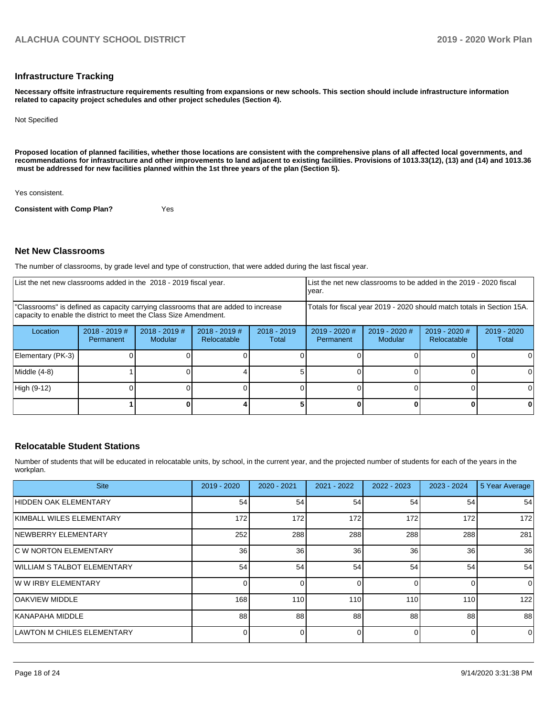#### **Infrastructure Tracking**

**Necessary offsite infrastructure requirements resulting from expansions or new schools. This section should include infrastructure information related to capacity project schedules and other project schedules (Section 4).** 

Not Specified

**Proposed location of planned facilities, whether those locations are consistent with the comprehensive plans of all affected local governments, and recommendations for infrastructure and other improvements to land adjacent to existing facilities. Provisions of 1013.33(12), (13) and (14) and 1013.36** must be addressed for new facilities planned within the 1st three years of the plan (Section 5).

Yes consistent.

**Consistent with Comp Plan?** Yes

#### **Net New Classrooms**

The number of classrooms, by grade level and type of construction, that were added during the last fiscal year.

| List the net new classrooms added in the 2018 - 2019 fiscal year.                                                                                       |                              |                                   |                                |                        | List the net new classrooms to be added in the 2019 - 2020 fiscal<br>year. |                          |                              |                      |
|---------------------------------------------------------------------------------------------------------------------------------------------------------|------------------------------|-----------------------------------|--------------------------------|------------------------|----------------------------------------------------------------------------|--------------------------|------------------------------|----------------------|
| "Classrooms" is defined as capacity carrying classrooms that are added to increase<br>capacity to enable the district to meet the Class Size Amendment. |                              |                                   |                                |                        | Totals for fiscal year 2019 - 2020 should match totals in Section 15A.     |                          |                              |                      |
| Location                                                                                                                                                | $2018 - 2019$ #<br>Permanent | $2018 - 2019$ #<br><b>Modular</b> | $2018 - 2019$ #<br>Relocatable | $2018 - 2019$<br>Total | 2019 - 2020 #<br>Permanent                                                 | 2019 - 2020 #<br>Modular | 2019 - 2020 #<br>Relocatable | 2019 - 2020<br>Total |
| Elementary (PK-3)                                                                                                                                       |                              |                                   |                                |                        |                                                                            |                          |                              |                      |
| Middle $(4-8)$                                                                                                                                          |                              |                                   |                                |                        |                                                                            |                          |                              |                      |
| High (9-12)                                                                                                                                             |                              |                                   |                                |                        |                                                                            |                          |                              |                      |
|                                                                                                                                                         |                              |                                   |                                |                        |                                                                            |                          |                              |                      |

#### **Relocatable Student Stations**

Number of students that will be educated in relocatable units, by school, in the current year, and the projected number of students for each of the years in the workplan.

| <b>Site</b>                        | $2019 - 2020$ | 2020 - 2021     | 2021 - 2022 | $2022 - 2023$ | 2023 - 2024 | 5 Year Average |
|------------------------------------|---------------|-----------------|-------------|---------------|-------------|----------------|
| HIDDEN OAK ELEMENTARY              | 54            | 54              | 54          | 54            | 54          | 54             |
| KIMBALL WILES ELEMENTARY           | 172           | 172             | 172         | 172           | 172         | 172            |
| <b>NEWBERRY ELEMENTARY</b>         | 252           | 288             | 288         | 288           | 288         | 281            |
| <b>IC W NORTON ELEMENTARY</b>      | 36            | 36 <sup>1</sup> | 36          | 36            | 36          | 36             |
| <b>WILLIAM S TALBOT ELEMENTARY</b> | 54            | 54              | 54          | 54            | 54          | 54             |
| <b>WW IRBY ELEMENTARY</b>          |               | ΩI              | n           |               |             | $\mathbf 0$    |
| <b>OAKVIEW MIDDLE</b>              | 168           | 110             | 110         | 110           | 110         | 122            |
| <b>KANAPAHA MIDDLE</b>             | 88            | 88              | 88          | 88            | 88          | 88             |
| <b>LAWTON M CHILES ELEMENTARY</b>  |               |                 | n           |               | ∩           | $\mathbf 0$    |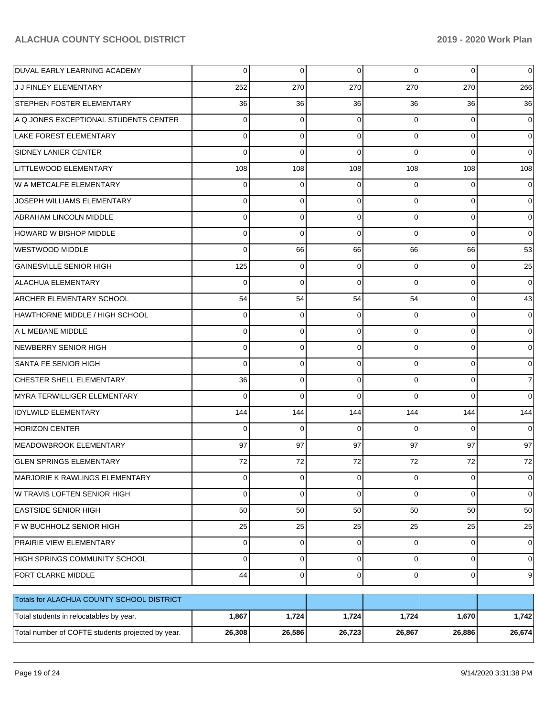| DUVAL EARLY LEARNING ACADEMY                      | $\Omega$       | 0           | $\Omega$       | $\Omega$       | $\Omega$       | $\Omega$       |
|---------------------------------------------------|----------------|-------------|----------------|----------------|----------------|----------------|
| J J FINLEY ELEMENTARY                             | 252            | 270         | 270            | 270            | 270            | 266            |
| <b>STEPHEN FOSTER ELEMENTARY</b>                  | 36             | 36          | 36             | 36             | 36             | 36             |
| A Q JONES EXCEPTIONAL STUDENTS CENTER             | $\Omega$       | 0           | $\Omega$       | $\Omega$       | $\Omega$       | $\overline{0}$ |
| <b>LAKE FOREST ELEMENTARY</b>                     | $\Omega$       | $\Omega$    | $\Omega$       | $\Omega$       | $\Omega$       | $\Omega$       |
| <b>SIDNEY LANIER CENTER</b>                       | $\Omega$       | $\Omega$    | $\Omega$       | $\Omega$       | $\Omega$       | $\Omega$       |
| LITTLEWOOD ELEMENTARY                             | 108            | 108         | 108            | 108            | 108            | 108            |
| W A METCALFE ELEMENTARY                           | $\Omega$       | 0           | 0              | $\Omega$       | $\Omega$       | $\overline{0}$ |
| JOSEPH WILLIAMS ELEMENTARY                        | $\Omega$       | $\Omega$    | $\Omega$       | $\Omega$       | $\Omega$       | $\Omega$       |
| <b>ABRAHAM LINCOLN MIDDLE</b>                     | $\Omega$       | 0           | $\Omega$       | $\Omega$       | $\Omega$       | $\Omega$       |
| <b>HOWARD W BISHOP MIDDLE</b>                     | $\Omega$       | $\Omega$    | $\Omega$       | $\Omega$       | $\Omega$       | $\Omega$       |
| <b>WESTWOOD MIDDLE</b>                            | $\Omega$       | 66          | 66             | 66             | 66             | 53             |
| <b>GAINESVILLE SENIOR HIGH</b>                    | 125            | $\Omega$    | $\Omega$       | $\Omega$       | $\Omega$       | 25             |
| <b>ALACHUA ELEMENTARY</b>                         | $\Omega$       | $\Omega$    | $\Omega$       | $\Omega$       | $\Omega$       | $\overline{0}$ |
| <b>ARCHER ELEMENTARY SCHOOL</b>                   | 54             | 54          | 54             | 54             | $\Omega$       | 43             |
| HAWTHORNE MIDDLE / HIGH SCHOOL                    | $\Omega$       | 0           | 0              | $\Omega$       | $\Omega$       | 0              |
| A L MEBANE MIDDLE                                 | $\Omega$       | $\Omega$    | $\Omega$       | $\Omega$       | $\Omega$       | 0              |
| NEWBERRY SENIOR HIGH                              | $\Omega$       | $\Omega$    | $\Omega$       | $\Omega$       | $\Omega$       | $\Omega$       |
| SANTA FE SENIOR HIGH                              | $\Omega$       | $\Omega$    | $\Omega$       | $\Omega$       | $\Omega$       | $\Omega$       |
| CHESTER SHELL ELEMENTARY                          | 36             | 0           | $\Omega$       | $\Omega$       | $\Omega$       | 7              |
| MYRA TERWILLIGER ELEMENTARY                       | $\Omega$       | $\Omega$    | $\Omega$       | $\Omega$       | $\Omega$       | $\Omega$       |
| <b>IDYLWILD ELEMENTARY</b>                        | 144            | 144         | 144            | 144            | 144            | 144            |
| <b>HORIZON CENTER</b>                             | $\Omega$       | $\Omega$    | $\Omega$       | $\Omega$       | $\Omega$       | $\Omega$       |
| MEADOWBROOK ELEMENTARY                            | 97             | 97          | 97             | 97             | 97             | 97             |
| <b>GLEN SPRINGS ELEMENTARY</b>                    | 72             | 72          | 72             | 72             | 72             | 72             |
| MARJORIE K RAWLINGS ELEMENTARY                    | $\overline{0}$ | $\mathbf 0$ | $\overline{0}$ | $\overline{0}$ | $\overline{0}$ | $\overline{0}$ |
| W TRAVIS LOFTEN SENIOR HIGH                       | $\Omega$       | $\mathbf 0$ | $\Omega$       | $\Omega$       | $\Omega$       | $\overline{0}$ |
| <b>EASTSIDE SENIOR HIGH</b>                       | 50             | 50          | 50             | 50             | 50             | 50             |
| F W BUCHHOLZ SENIOR HIGH                          | 25             | 25          | 25             | 25             | 25             | 25             |
| PRAIRIE VIEW ELEMENTARY                           | $\Omega$       | $\mathbf 0$ | 0              | $\Omega$       | $\Omega$       | $\overline{0}$ |
| HIGH SPRINGS COMMUNITY SCHOOL                     | $\Omega$       | $\mathbf 0$ | $\mathbf 0$    | $\Omega$       | $\Omega$       | $\overline{0}$ |
| FORT CLARKE MIDDLE                                | 44             | $\mathbf 0$ | $\mathbf 0$    | $\Omega$       | $\mathbf 0$    | 9              |
| Totals for ALACHUA COUNTY SCHOOL DISTRICT         |                |             |                |                |                |                |
| Total students in relocatables by year.           | 1,867          | 1,724       | 1,724          | 1,724          | 1,670          | 1,742          |
| Total number of COFTE students projected by year. | 26,308         | 26,586      | 26,723         | 26,867         | 26,886         | 26,674         |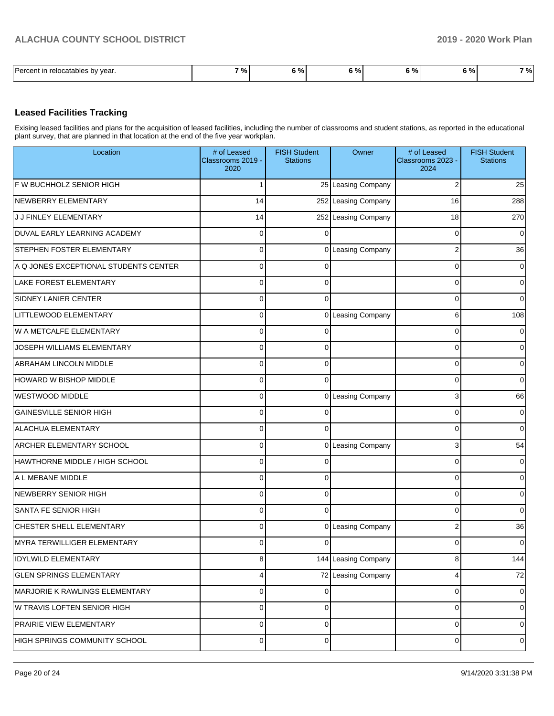| $\overline{\phantom{0}}$<br>l Darcant<br>relocatables by<br>vear. | 701<br>70 | $\sim$<br>70. | - 04<br>- - - | $\mathbf{r}$<br>70 I | ົດ/<br>7٥ | <b>່%</b> |
|-------------------------------------------------------------------|-----------|---------------|---------------|----------------------|-----------|-----------|

### **Leased Facilities Tracking**

Exising leased facilities and plans for the acquisition of leased facilities, including the number of classrooms and student stations, as reported in the educational plant survey, that are planned in that location at the end of the five year workplan.

| Location                              | # of Leased<br>Classrooms 2019 -<br>2020 | <b>FISH Student</b><br><b>Stations</b> | Owner               | # of Leased<br>Classrooms 2023 -<br>2024 | <b>FISH Student</b><br><b>Stations</b> |
|---------------------------------------|------------------------------------------|----------------------------------------|---------------------|------------------------------------------|----------------------------------------|
| F W BUCHHOLZ SENIOR HIGH              | 1                                        |                                        | 25 Leasing Company  | $\overline{2}$                           | 25                                     |
| NEWBERRY ELEMENTARY                   | 14                                       |                                        | 252 Leasing Company | 16                                       | 288                                    |
| J J FINLEY ELEMENTARY                 | 14                                       |                                        | 252 Leasing Company | 18                                       | 270                                    |
| DUVAL EARLY LEARNING ACADEMY          | 0                                        | $\Omega$                               |                     | $\mathbf 0$                              | $\Omega$                               |
| STEPHEN FOSTER ELEMENTARY             | 0                                        |                                        | 0 Leasing Company   | $\mathbf 2$                              | 36                                     |
| A Q JONES EXCEPTIONAL STUDENTS CENTER | 0                                        | $\mathbf 0$                            |                     | $\mathbf 0$                              | 0                                      |
| <b>LAKE FOREST ELEMENTARY</b>         | 0                                        | 0                                      |                     | $\pmb{0}$                                | $\Omega$                               |
| SIDNEY LANIER CENTER                  | 0                                        | $\Omega$                               |                     | $\mathbf 0$                              | $\Omega$                               |
| LITTLEWOOD ELEMENTARY                 | 0                                        |                                        | 0 Leasing Company   | 6                                        | 108                                    |
| W A METCALFE ELEMENTARY               | 0                                        | $\mathbf 0$                            |                     | $\mathbf 0$                              | 0                                      |
| JOSEPH WILLIAMS ELEMENTARY            | 0                                        | 0                                      |                     | $\pmb{0}$                                | $\Omega$                               |
| ABRAHAM LINCOLN MIDDLE                | 0                                        | 0                                      |                     | $\mathbf 0$                              | $\Omega$                               |
| HOWARD W BISHOP MIDDLE                | 0                                        | $\mathbf{0}$                           |                     | $\mathbf 0$                              | $\Omega$                               |
| <b>WESTWOOD MIDDLE</b>                | 0                                        |                                        | 0 Leasing Company   | 3                                        | 66                                     |
| <b>GAINESVILLE SENIOR HIGH</b>        | $\mathbf 0$                              | $\mathbf 0$                            |                     | $\mathbf 0$                              | 0                                      |
| <b>ALACHUA ELEMENTARY</b>             | 0                                        | $\Omega$                               |                     | $\mathbf 0$                              | $\Omega$                               |
| ARCHER ELEMENTARY SCHOOL              | 0                                        |                                        | 0 Leasing Company   | 3                                        | 54                                     |
| HAWTHORNE MIDDLE / HIGH SCHOOL        | 0                                        | $\mathbf 0$                            |                     | $\pmb{0}$                                | $\Omega$                               |
| A L MEBANE MIDDLE                     | $\mathbf 0$                              | $\mathbf 0$                            |                     | $\mathbf 0$                              | $\Omega$                               |
| NEWBERRY SENIOR HIGH                  | 0                                        | 0                                      |                     | $\mathbf 0$                              | $\Omega$                               |
| SANTA FE SENIOR HIGH                  | 0                                        | $\mathbf{0}$                           |                     | $\mathbf 0$                              | $\Omega$                               |
| CHESTER SHELL ELEMENTARY              | 0                                        |                                        | 0 Leasing Company   | $\mathbf 2$                              | 36                                     |
| <b>MYRA TERWILLIGER ELEMENTARY</b>    | 0                                        | 0                                      |                     | 0                                        | 0                                      |
| <b>IDYLWILD ELEMENTARY</b>            | 8                                        |                                        | 144 Leasing Company | 8                                        | 144                                    |
| <b>GLEN SPRINGS ELEMENTARY</b>        | 4                                        |                                        | 72 Leasing Company  | 4                                        | 72                                     |
| MARJORIE K RAWLINGS ELEMENTARY        | 0                                        | 0                                      |                     | 0                                        | 0                                      |
| W TRAVIS LOFTEN SENIOR HIGH           | 0                                        | $\mathbf 0$                            |                     | $\mathbf 0$                              | 0                                      |
| PRAIRIE VIEW ELEMENTARY               | 0                                        | $\mathbf 0$                            |                     | $\pmb{0}$                                | 0                                      |
| HIGH SPRINGS COMMUNITY SCHOOL         | 0                                        | 0                                      |                     | $\mathbf 0$                              | 0                                      |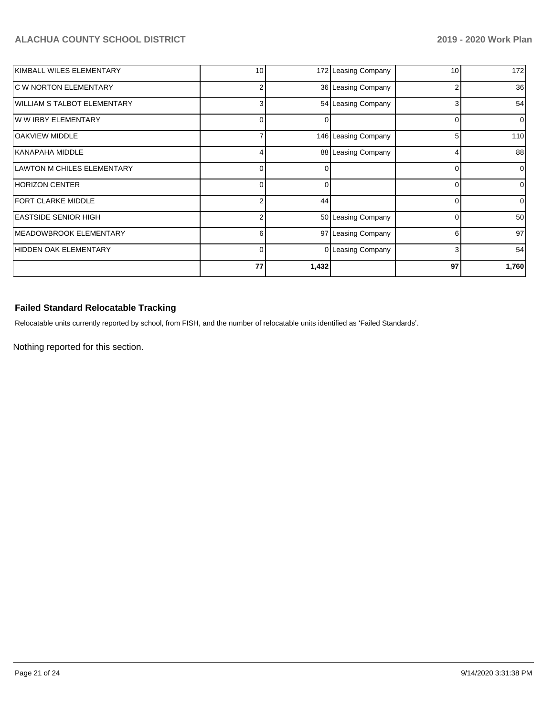| KIMBALL WILES ELEMENTARY     | 10 |              | 172 Leasing Company | 10 | 172             |
|------------------------------|----|--------------|---------------------|----|-----------------|
| <b>C W NORTON ELEMENTARY</b> | 2  |              | 36 Leasing Company  | 2  | 36              |
| WILLIAM S TALBOT ELEMENTARY  | 3  |              | 54 Leasing Company  | 3  | 54              |
| W W IRBY ELEMENTARY          | 0  |              |                     |    | 0               |
| <b>OAKVIEW MIDDLE</b>        |    |              | 146 Leasing Company | 5  | 110             |
| KANAPAHA MIDDLE              |    |              | 88 Leasing Company  | 4  | 88              |
| LAWTON M CHILES ELEMENTARY   | 0  | <sup>n</sup> |                     | ∩  | $\Omega$        |
| HORIZON CENTER               | 0  | 0            |                     | 0  | $\Omega$        |
| <b>FORT CLARKE MIDDLE</b>    | 2  | 44           |                     |    | $\Omega$        |
| <b>EASTSIDE SENIOR HIGH</b>  | 2  |              | 50 Leasing Company  | 0  | 50 <sub>1</sub> |
| MEADOWBROOK ELEMENTARY       | 6  |              | 97 Leasing Company  | 6  | 97              |
| HIDDEN OAK ELEMENTARY        | 0  |              | 0 Leasing Company   | 3  | 54              |
|                              | 77 | 1,432        |                     | 97 | 1,760           |

# **Failed Standard Relocatable Tracking**

Relocatable units currently reported by school, from FISH, and the number of relocatable units identified as 'Failed Standards'.

Nothing reported for this section.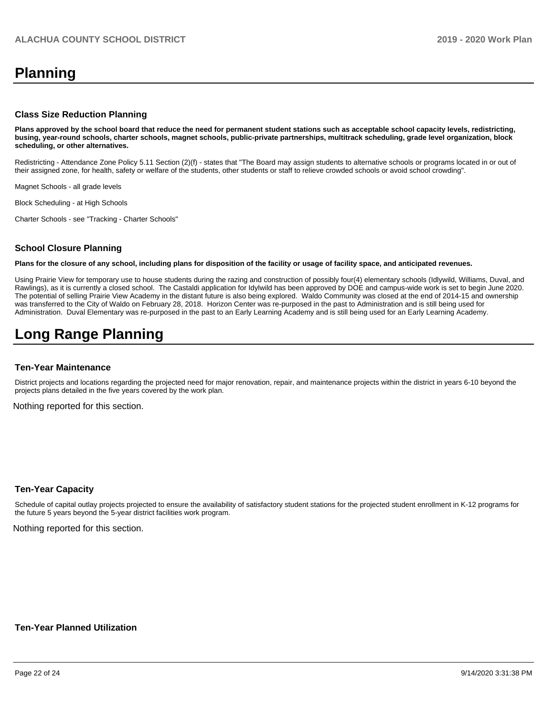# **Planning**

#### **Class Size Reduction Planning**

**Plans approved by the school board that reduce the need for permanent student stations such as acceptable school capacity levels, redistricting, busing, year-round schools, charter schools, magnet schools, public-private partnerships, multitrack scheduling, grade level organization, block scheduling, or other alternatives.**

Redistricting - Attendance Zone Policy 5.11 Section (2)(f) - states that "The Board may assign students to alternative schools or programs located in or out of their assigned zone, for health, safety or welfare of the students, other students or staff to relieve crowded schools or avoid school crowding".

Magnet Schools - all grade levels

Block Scheduling - at High Schools

Charter Schools - see "Tracking - Charter Schools"

#### **School Closure Planning**

**Plans for the closure of any school, including plans for disposition of the facility or usage of facility space, and anticipated revenues.** 

Using Prairie View for temporary use to house students during the razing and construction of possibly four(4) elementary schools (Idlywild, Williams, Duval, and Rawlings), as it is currently a closed school. The Castaldi application for Idylwild has been approved by DOE and campus-wide work is set to begin June 2020. The potential of selling Prairie View Academy in the distant future is also being explored. Waldo Community was closed at the end of 2014-15 and ownership was transferred to the City of Waldo on February 28, 2018. Horizon Center was re-purposed in the past to Administration and is still being used for Administration. Duval Elementary was re-purposed in the past to an Early Learning Academy and is still being used for an Early Learning Academy.

# **Long Range Planning**

#### **Ten-Year Maintenance**

District projects and locations regarding the projected need for major renovation, repair, and maintenance projects within the district in years 6-10 beyond the projects plans detailed in the five years covered by the work plan.

Nothing reported for this section.

#### **Ten-Year Capacity**

Schedule of capital outlay projects projected to ensure the availability of satisfactory student stations for the projected student enrollment in K-12 programs for the future 5 years beyond the 5-year district facilities work program.

Nothing reported for this section.

#### **Ten-Year Planned Utilization**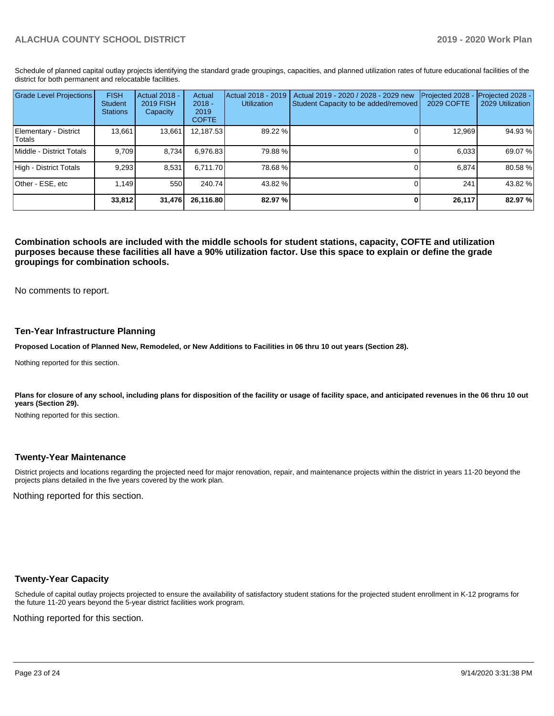Schedule of planned capital outlay projects identifying the standard grade groupings, capacities, and planned utilization rates of future educational facilities of the district for both permanent and relocatable facilities.

| <b>Grade Level Projections</b>   | <b>FISH</b><br>Student<br><b>Stations</b> | <b>Actual 2018 -</b><br>2019 FISH<br>Capacity | Actual<br>$2018 -$<br>2019<br><b>COFTE</b> | Actual 2018 - 2019<br><b>Utilization</b> | Actual 2019 - 2020 / 2028 - 2029 new<br>Student Capacity to be added/removed | Projected 2028<br>2029 COFTE | Projected 2028 -<br>2029 Utilization |
|----------------------------------|-------------------------------------------|-----------------------------------------------|--------------------------------------------|------------------------------------------|------------------------------------------------------------------------------|------------------------------|--------------------------------------|
| Elementary - District<br> Totals | 13.661                                    | 13,661                                        | 12,187.53                                  | 89.22 %                                  |                                                                              | 12.969                       | 94.93%                               |
| Middle - District Totals         | 9.709                                     | 8.734                                         | 6,976.83                                   | 79.88%                                   |                                                                              | 6.033                        | 69.07 %                              |
| High - District Totals           | 9,293                                     | 8,531                                         | 6.711.70                                   | 78.68%                                   |                                                                              | 6,874                        | 80.58 %                              |
| Other - ESE, etc                 | 1.149                                     | 550                                           | 240.74                                     | 43.82 %                                  |                                                                              | 241                          | 43.82 %                              |
|                                  | 33,812                                    | 31,476                                        | 26.116.80                                  | 82.97 %                                  |                                                                              | 26,117                       | 82.97 %                              |

**Combination schools are included with the middle schools for student stations, capacity, COFTE and utilization purposes because these facilities all have a 90% utilization factor. Use this space to explain or define the grade groupings for combination schools.** 

No comments to report.

#### **Ten-Year Infrastructure Planning**

**Proposed Location of Planned New, Remodeled, or New Additions to Facilities in 06 thru 10 out years (Section 28).**

Nothing reported for this section.

Plans for closure of any school, including plans for disposition of the facility or usage of facility space, and anticipated revenues in the 06 thru 10 out **years (Section 29).**

Nothing reported for this section.

#### **Twenty-Year Maintenance**

District projects and locations regarding the projected need for major renovation, repair, and maintenance projects within the district in years 11-20 beyond the projects plans detailed in the five years covered by the work plan.

Nothing reported for this section.

#### **Twenty-Year Capacity**

Schedule of capital outlay projects projected to ensure the availability of satisfactory student stations for the projected student enrollment in K-12 programs for the future 11-20 years beyond the 5-year district facilities work program.

Nothing reported for this section.